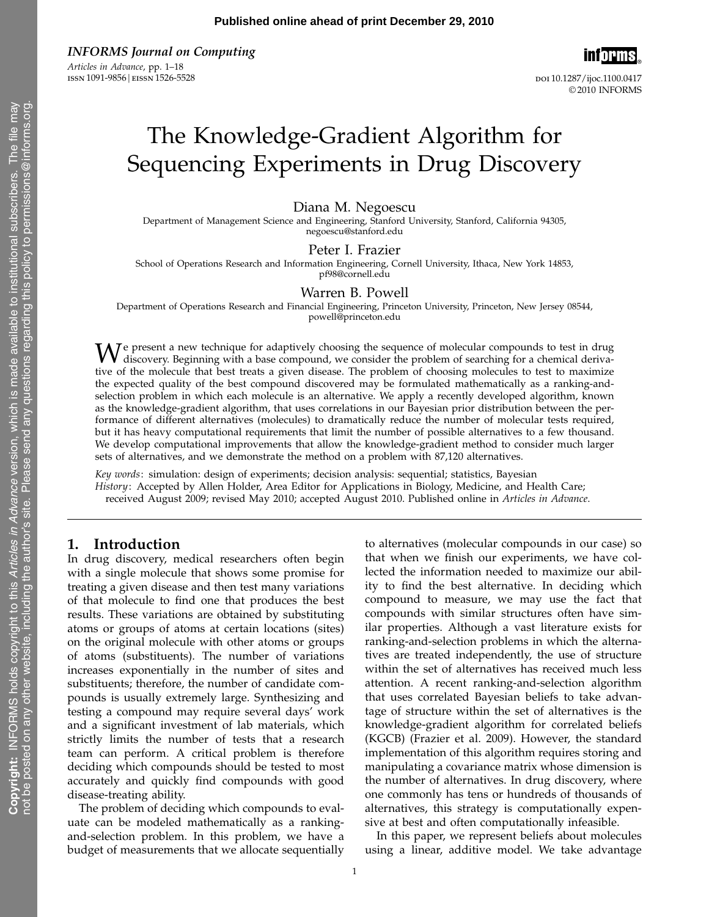**Published online ahead of print December 29, 2010**

*INFORMS Journal on Computing*

Articles in Advance, pp. 1–18 issn 1091-9856 | eissn 1526-5528

doi 10.1287/ijoc.1100.0417 © 2010 INFORMS

in forms

# The Knowledge-Gradient Algorithm for Sequencing Experiments in Drug Discovery

Diana M. Negoescu

Department of Management Science and Engineering, Stanford University, Stanford, California 94305, negoescu@stanford.edu

#### Peter I. Frazier

School of Operations Research and Information Engineering, Cornell University, Ithaca, New York 14853, pf98@cornell.edu

## Warren B. Powell

Department of Operations Research and Financial Engineering, Princeton University, Princeton, New Jersey 08544, powell@princeton.edu

We present a new technique for adaptively choosing the sequence of molecular compounds to test in drug<br>discovery. Beginning with a base compound, we consider the problem of searching for a chemical deriva-<br>in the base of t tive of the molecule that best treats a given disease. The problem of choosing molecules to test to maximize the expected quality of the best compound discovered may be formulated mathematically as a ranking-andselection problem in which each molecule is an alternative. We apply a recently developed algorithm, known as the knowledge-gradient algorithm, that uses correlations in our Bayesian prior distribution between the performance of different alternatives (molecules) to dramatically reduce the number of molecular tests required, but it has heavy computational requirements that limit the number of possible alternatives to a few thousand. We develop computational improvements that allow the knowledge-gradient method to consider much larger sets of alternatives, and we demonstrate the method on a problem with 87,120 alternatives.

Key words: simulation: design of experiments; decision analysis: sequential; statistics, Bayesian History: Accepted by Allen Holder, Area Editor for Applications in Biology, Medicine, and Health Care; received August 2009; revised May 2010; accepted August 2010. Published online in Articles in Advance.

## 1. Introduction

In drug discovery, medical researchers often begin with a single molecule that shows some promise for treating a given disease and then test many variations of that molecule to find one that produces the best results. These variations are obtained by substituting atoms or groups of atoms at certain locations (sites) on the original molecule with other atoms or groups of atoms (substituents). The number of variations increases exponentially in the number of sites and substituents; therefore, the number of candidate compounds is usually extremely large. Synthesizing and testing a compound may require several days' work and a significant investment of lab materials, which strictly limits the number of tests that a research team can perform. A critical problem is therefore deciding which compounds should be tested to most accurately and quickly find compounds with good disease-treating ability.

The problem of deciding which compounds to evaluate can be modeled mathematically as a rankingand-selection problem. In this problem, we have a budget of measurements that we allocate sequentially

to alternatives (molecular compounds in our case) so that when we finish our experiments, we have collected the information needed to maximize our ability to find the best alternative. In deciding which compound to measure, we may use the fact that compounds with similar structures often have similar properties. Although a vast literature exists for ranking-and-selection problems in which the alternatives are treated independently, the use of structure within the set of alternatives has received much less attention. A recent ranking-and-selection algorithm that uses correlated Bayesian beliefs to take advantage of structure within the set of alternatives is the knowledge-gradient algorithm for correlated beliefs (KGCB) (Frazier et al. 2009). However, the standard implementation of this algorithm requires storing and manipulating a covariance matrix whose dimension is the number of alternatives. In drug discovery, where one commonly has tens or hundreds of thousands of alternatives, this strategy is computationally expensive at best and often computationally infeasible.

In this paper, we represent beliefs about molecules using a linear, additive model. We take advantage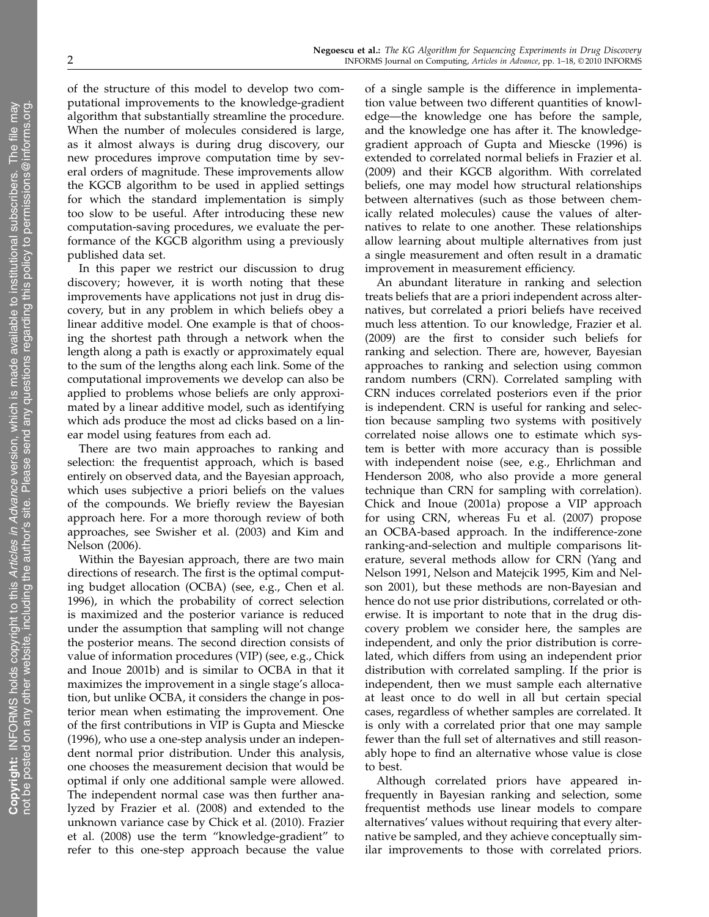of the structure of this model to develop two computational improvements to the knowledge-gradient algorithm that substantially streamline the procedure. When the number of molecules considered is large, as it almost always is during drug discovery, our new procedures improve computation time by several orders of magnitude. These improvements allow the KGCB algorithm to be used in applied settings for which the standard implementation is simply too slow to be useful. After introducing these new computation-saving procedures, we evaluate the performance of the KGCB algorithm using a previously published data set.

In this paper we restrict our discussion to drug discovery; however, it is worth noting that these improvements have applications not just in drug discovery, but in any problem in which beliefs obey a linear additive model. One example is that of choosing the shortest path through a network when the length along a path is exactly or approximately equal to the sum of the lengths along each link. Some of the computational improvements we develop can also be applied to problems whose beliefs are only approximated by a linear additive model, such as identifying which ads produce the most ad clicks based on a linear model using features from each ad.

There are two main approaches to ranking and selection: the frequentist approach, which is based entirely on observed data, and the Bayesian approach, which uses subjective a priori beliefs on the values of the compounds. We briefly review the Bayesian approach here. For a more thorough review of both approaches, see Swisher et al. (2003) and Kim and Nelson (2006).

Within the Bayesian approach, there are two main directions of research. The first is the optimal computing budget allocation (OCBA) (see, e.g., Chen et al. 1996), in which the probability of correct selection is maximized and the posterior variance is reduced under the assumption that sampling will not change the posterior means. The second direction consists of value of information procedures (VIP) (see, e.g., Chick and Inoue 2001b) and is similar to OCBA in that it maximizes the improvement in a single stage's allocation, but unlike OCBA, it considers the change in posterior mean when estimating the improvement. One of the first contributions in VIP is Gupta and Miescke (1996), who use a one-step analysis under an independent normal prior distribution. Under this analysis, one chooses the measurement decision that would be optimal if only one additional sample were allowed. The independent normal case was then further analyzed by Frazier et al. (2008) and extended to the unknown variance case by Chick et al. (2010). Frazier et al. (2008) use the term "knowledge-gradient" to refer to this one-step approach because the value

of a single sample is the difference in implementation value between two different quantities of knowledge—the knowledge one has before the sample, and the knowledge one has after it. The knowledgegradient approach of Gupta and Miescke (1996) is extended to correlated normal beliefs in Frazier et al. (2009) and their KGCB algorithm. With correlated beliefs, one may model how structural relationships between alternatives (such as those between chemically related molecules) cause the values of alternatives to relate to one another. These relationships allow learning about multiple alternatives from just a single measurement and often result in a dramatic improvement in measurement efficiency.

An abundant literature in ranking and selection treats beliefs that are a priori independent across alternatives, but correlated a priori beliefs have received much less attention. To our knowledge, Frazier et al. (2009) are the first to consider such beliefs for ranking and selection. There are, however, Bayesian approaches to ranking and selection using common random numbers (CRN). Correlated sampling with CRN induces correlated posteriors even if the prior is independent. CRN is useful for ranking and selection because sampling two systems with positively correlated noise allows one to estimate which system is better with more accuracy than is possible with independent noise (see, e.g., Ehrlichman and Henderson 2008, who also provide a more general technique than CRN for sampling with correlation). Chick and Inoue (2001a) propose a VIP approach for using CRN, whereas Fu et al. (2007) propose an OCBA-based approach. In the indifference-zone ranking-and-selection and multiple comparisons literature, several methods allow for CRN (Yang and Nelson 1991, Nelson and Matejcik 1995, Kim and Nelson 2001), but these methods are non-Bayesian and hence do not use prior distributions, correlated or otherwise. It is important to note that in the drug discovery problem we consider here, the samples are independent, and only the prior distribution is correlated, which differs from using an independent prior distribution with correlated sampling. If the prior is independent, then we must sample each alternative at least once to do well in all but certain special cases, regardless of whether samples are correlated. It is only with a correlated prior that one may sample fewer than the full set of alternatives and still reasonably hope to find an alternative whose value is close to best.

Although correlated priors have appeared infrequently in Bayesian ranking and selection, some frequentist methods use linear models to compare alternatives' values without requiring that every alternative be sampled, and they achieve conceptually similar improvements to those with correlated priors.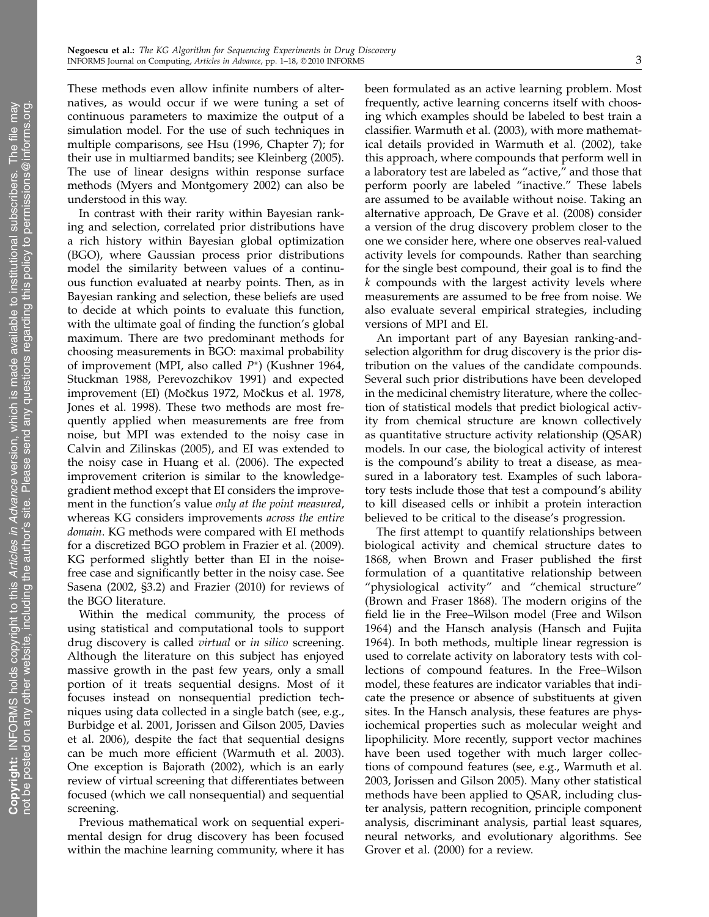These methods even allow infinite numbers of alternatives, as would occur if we were tuning a set of continuous parameters to maximize the output of a simulation model. For the use of such techniques in multiple comparisons, see Hsu (1996, Chapter 7); for their use in multiarmed bandits; see Kleinberg (2005). The use of linear designs within response surface methods (Myers and Montgomery 2002) can also be understood in this way.

In contrast with their rarity within Bayesian ranking and selection, correlated prior distributions have a rich history within Bayesian global optimization (BGO), where Gaussian process prior distributions model the similarity between values of a continuous function evaluated at nearby points. Then, as in Bayesian ranking and selection, these beliefs are used to decide at which points to evaluate this function, with the ultimate goal of finding the function's global maximum. There are two predominant methods for choosing measurements in BGO: maximal probability of improvement (MPI, also called P∗) (Kushner 1964, Stuckman 1988, Perevozchikov 1991) and expected improvement (EI) (Močkus 1972, Močkus et al. 1978, Jones et al. 1998). These two methods are most frequently applied when measurements are free from noise, but MPI was extended to the noisy case in Calvin and Zilinskas (2005), and EI was extended to the noisy case in Huang et al. (2006). The expected improvement criterion is similar to the knowledgegradient method except that EI considers the improvement in the function's value only at the point measured, whereas KG considers improvements across the entire domain. KG methods were compared with EI methods for a discretized BGO problem in Frazier et al. (2009). KG performed slightly better than EI in the noisefree case and significantly better in the noisy case. See Sasena (2002, §3.2) and Frazier (2010) for reviews of the BGO literature.

Within the medical community, the process of using statistical and computational tools to support drug discovery is called virtual or in silico screening. Although the literature on this subject has enjoyed massive growth in the past few years, only a small portion of it treats sequential designs. Most of it focuses instead on nonsequential prediction techniques using data collected in a single batch (see, e.g., Burbidge et al. 2001, Jorissen and Gilson 2005, Davies et al. 2006), despite the fact that sequential designs can be much more efficient (Warmuth et al. 2003). One exception is Bajorath (2002), which is an early review of virtual screening that differentiates between focused (which we call nonsequential) and sequential screening.

Previous mathematical work on sequential experimental design for drug discovery has been focused within the machine learning community, where it has been formulated as an active learning problem. Most frequently, active learning concerns itself with choosing which examples should be labeled to best train a classifier. Warmuth et al. (2003), with more mathematical details provided in Warmuth et al. (2002), take this approach, where compounds that perform well in a laboratory test are labeled as "active," and those that perform poorly are labeled "inactive." These labels are assumed to be available without noise. Taking an alternative approach, De Grave et al. (2008) consider a version of the drug discovery problem closer to the one we consider here, where one observes real-valued activity levels for compounds. Rather than searching for the single best compound, their goal is to find the k compounds with the largest activity levels where measurements are assumed to be free from noise. We also evaluate several empirical strategies, including versions of MPI and EI.

An important part of any Bayesian ranking-andselection algorithm for drug discovery is the prior distribution on the values of the candidate compounds. Several such prior distributions have been developed in the medicinal chemistry literature, where the collection of statistical models that predict biological activity from chemical structure are known collectively as quantitative structure activity relationship (QSAR) models. In our case, the biological activity of interest is the compound's ability to treat a disease, as measured in a laboratory test. Examples of such laboratory tests include those that test a compound's ability to kill diseased cells or inhibit a protein interaction believed to be critical to the disease's progression.

The first attempt to quantify relationships between biological activity and chemical structure dates to 1868, when Brown and Fraser published the first formulation of a quantitative relationship between "physiological activity" and "chemical structure" (Brown and Fraser 1868). The modern origins of the field lie in the Free–Wilson model (Free and Wilson 1964) and the Hansch analysis (Hansch and Fujita 1964). In both methods, multiple linear regression is used to correlate activity on laboratory tests with collections of compound features. In the Free–Wilson model, these features are indicator variables that indicate the presence or absence of substituents at given sites. In the Hansch analysis, these features are physiochemical properties such as molecular weight and lipophilicity. More recently, support vector machines have been used together with much larger collections of compound features (see, e.g., Warmuth et al. 2003, Jorissen and Gilson 2005). Many other statistical methods have been applied to QSAR, including cluster analysis, pattern recognition, principle component analysis, discriminant analysis, partial least squares, neural networks, and evolutionary algorithms. See Grover et al. (2000) for a review.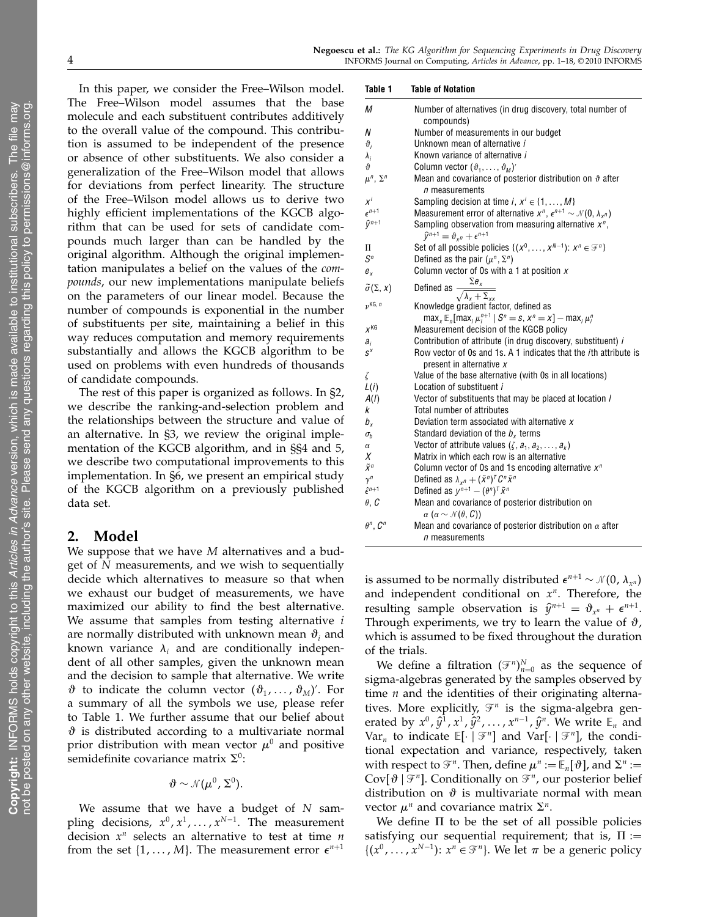In this paper, we consider the Free–Wilson model. The Free–Wilson model assumes that the base molecule and each substituent contributes additively to the overall value of the compound. This contribution is assumed to be independent of the presence or absence of other substituents. We also consider a generalization of the Free–Wilson model that allows for deviations from perfect linearity. The structure of the Free–Wilson model allows us to derive two highly efficient implementations of the KGCB algorithm that can be used for sets of candidate compounds much larger than can be handled by the original algorithm. Although the original implementation manipulates a belief on the values of the compounds, our new implementations manipulate beliefs on the parameters of our linear model. Because the number of compounds is exponential in the number of substituents per site, maintaining a belief in this way reduces computation and memory requirements substantially and allows the KGCB algorithm to be used on problems with even hundreds of thousands of candidate compounds.

The rest of this paper is organized as follows. In §2, we describe the ranking-and-selection problem and the relationships between the structure and value of an alternative. In §3, we review the original implementation of the KGCB algorithm, and in §§4 and 5, we describe two computational improvements to this implementation. In §6, we present an empirical study of the KGCB algorithm on a previously published data set.

# 2. Model

We suppose that we have M alternatives and a budget of N measurements, and we wish to sequentially decide which alternatives to measure so that when we exhaust our budget of measurements, we have maximized our ability to find the best alternative. We assume that samples from testing alternative  $i$ are normally distributed with unknown mean  $\vartheta_i$  and known variance  $\lambda_i$  and are conditionally independent of all other samples, given the unknown mean and the decision to sample that alternative. We write  $\vartheta$  to indicate the column vector  $(\vartheta_1, \ldots, \vartheta_M)'$ . For a summary of all the symbols we use, please refer to Table 1. We further assume that our belief about  $\vartheta$  is distributed according to a multivariate normal prior distribution with mean vector  $\mu^0$  and positive semidefinite covariance matrix  $\Sigma^0$ :

$$
\vartheta \sim \mathcal{N}(\mu^0, \Sigma^0).
$$

We assume that we have a budget of  $N$  sampling decisions,  $x^0$ ,  $x^1$ , ...,  $x^{N-1}$ . The measurement decision  $x^n$  selects an alternative to test at time *n* from the set  $\{1,\ldots,M\}$ . The measurement error  $\boldsymbol{\epsilon}^{n+1}$ 

Table 1 Table of Notation

| М                           | Number of alternatives (in drug discovery, total number of<br>compounds)                                                  |
|-----------------------------|---------------------------------------------------------------------------------------------------------------------------|
| N                           | Number of measurements in our budget                                                                                      |
| $\vartheta_i$               | Unknown mean of alternative i                                                                                             |
| $\lambda_i$                 | Known variance of alternative i                                                                                           |
| $\partial$                  | Column vector $(\vartheta_1, \ldots, \vartheta_M)'$                                                                       |
| $\mu^n$ , $\Sigma^n$        | Mean and covariance of posterior distribution on $\vartheta$ after<br>n measurements                                      |
| $X^i$                       | Sampling decision at time $i, x^i \in \{1, , M\}$                                                                         |
| $\epsilon^{n+1}$            | Measurement error of alternative $x^n$ , $\epsilon^{n+1} \sim \mathcal{N}(0, \lambda_{x^n})$                              |
| $\hat{y}^{n+1}$             | Sampling observation from measuring alternative $x^n$ ,<br>$\hat{y}^{n+1} = \vartheta_{x^n} + \epsilon^{n+1}$             |
| $\prod$                     | Set of all possible policies $\{(x^0, \ldots, x^{N-1}) : x^n \in \mathcal{F}^n\}$                                         |
| S <sup>n</sup>              | Defined as the pair $(\mu^n, \Sigma^n)$                                                                                   |
| $e_{x}$                     | Column vector of 0s with a 1 at position $x$                                                                              |
| $\tilde{\sigma}(\Sigma, x)$ | Defined as $\frac{\Sigma e_x}{\sqrt{\lambda_x + \Sigma_{xx}}}$                                                            |
| $\nu^{\text{KG},n}$         | Knowledge gradient factor, defined as<br>$\max_x \mathbb{E}_n[\max_i \mu_i^{n+1} \mid S^n = s, x^n = x] - \max_i \mu_i^n$ |
| X <sup>KG</sup>             | Measurement decision of the KGCB policy                                                                                   |
| $a_i$                       | Contribution of attribute (in drug discovery, substituent) i                                                              |
| $S^X$                       | Row vector of 0s and 1s. A 1 indicates that the <i>i</i> th attribute is<br>present in alternative x                      |
| ζ                           | Value of the base alternative (with 0s in all locations)                                                                  |
| L(i)                        | Location of substituent i                                                                                                 |
| A(I)                        | Vector of substituents that may be placed at location /                                                                   |
| k                           | Total number of attributes                                                                                                |
| $b_{x}$                     | Deviation term associated with alternative $x$                                                                            |
| $\sigma_b$                  | Standard deviation of the $b_x$ terms                                                                                     |
| $\alpha$                    | Vector of attribute values $(\zeta, a_1, a_2, \ldots, a_k)$                                                               |
| X                           | Matrix in which each row is an alternative                                                                                |
| $\tilde{X}^n$               | Column vector of 0s and 1s encoding alternative $xn$                                                                      |
| $\gamma^n$                  | Defined as $\lambda_{x^n} + (\tilde{X}^n)^T C^n \tilde{X}^n$                                                              |
| $\hat{\epsilon}^{n+1}$      | Defined as $y^{n+1} - (\theta^n)^T \tilde{x}^n$                                                                           |
| $\theta$ , $C$              | Mean and covariance of posterior distribution on<br>$\alpha$ ( $\alpha \sim \mathcal{N}(\theta, C)$ )                     |
| $\theta^n$ , $C^n$          | Mean and covariance of posterior distribution on $\alpha$ after<br>n measurements                                         |

is assumed to be normally distributed  $\epsilon^{n+1} \sim \mathcal{N}(0, \lambda_{x^n})$ and independent conditional on  $x^n$ . Therefore, the resulting sample observation is  $\hat{y}^{n+1} = \vartheta_{x^n} + \epsilon^{n+1}$ . Through experiments, we try to learn the value of  $\vartheta$ , which is assumed to be fixed throughout the duration of the trials.

We define a filtration  $(\mathcal{F}^n)_{n=0}^N$  as the sequence of sigma-algebras generated by the samples observed by time  $n$  and the identities of their originating alternatives. More explicitly,  $\mathcal{F}^n$  is the sigma-algebra generated by  $x^0$ ,  $\hat{y}^1$ ,  $x^1$ ,  $\hat{y}^2$ , ...,  $x^{n-1}$ ,  $\hat{y}^n$ . We write  $\mathbb{E}_n$  and Var<sub>n</sub> to indicate  $\mathbb{E}[\cdot | \mathcal{F}^n]$  and Var $[\cdot | \mathcal{F}^n]$ , the conditional expectation and variance, respectively, taken with respect to  $\mathscr{F}^n$ . Then, define  $\mu^n := \mathbb{E}_n[\vartheta]$ , and  $\Sigma^n :=$  $\text{Cov}[\vartheta \, | \, \mathcal{F}^n]$ . Conditionally on  $\mathcal{F}^n$ , our posterior belief distribution on  $\vartheta$  is multivariate normal with mean vector  $\mu^n$  and covariance matrix  $\Sigma^n$ .

We define  $\Pi$  to be the set of all possible policies satisfying our sequential requirement; that is,  $\Pi$  :=  $\{(x^0, \ldots, x^{N-1}) : x^n \in \mathcal{F}^n\}.$  We let  $\pi$  be a generic policy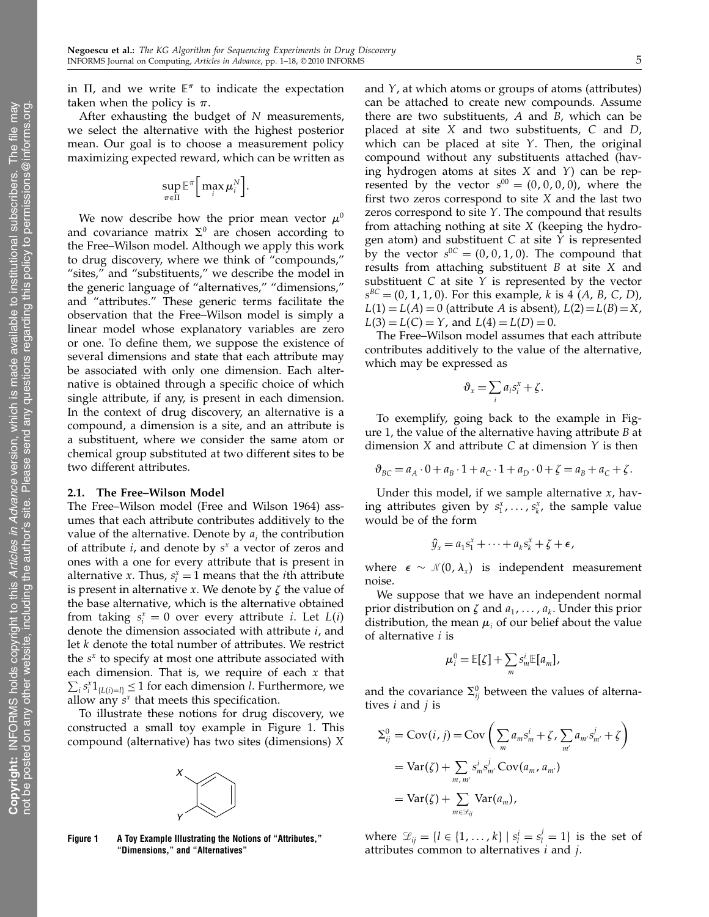in  $\Pi$ , and we write  $\mathbb{E}^{\pi}$  to indicate the expectation taken when the policy is  $\pi$ .

After exhausting the budget of N measurements, we select the alternative with the highest posterior mean. Our goal is to choose a measurement policy maximizing expected reward, which can be written as

$$
\sup_{\pi \in \Pi} \mathbb{E}^{\pi} \Big[ \max_{i} \mu_i^N \Big].
$$

We now describe how the prior mean vector  $\mu^0$ and covariance matrix  $\Sigma^0$  are chosen according to the Free–Wilson model. Although we apply this work to drug discovery, where we think of "compounds," "sites," and "substituents," we describe the model in the generic language of "alternatives," "dimensions," and "attributes." These generic terms facilitate the observation that the Free–Wilson model is simply a linear model whose explanatory variables are zero or one. To define them, we suppose the existence of several dimensions and state that each attribute may be associated with only one dimension. Each alternative is obtained through a specific choice of which single attribute, if any, is present in each dimension. In the context of drug discovery, an alternative is a compound, a dimension is a site, and an attribute is a substituent, where we consider the same atom or chemical group substituted at two different sites to be two different attributes.

#### 2.1. The Free–Wilson Model

The Free–Wilson model (Free and Wilson 1964) assumes that each attribute contributes additively to the value of the alternative. Denote by  $a_i$ , the contribution of attribute  $i$ , and denote by  $s^x$  a vector of zeros and ones with a one for every attribute that is present in alternative *x*. Thus,  $s_i^x = 1$  means that the *i*th attribute is present in alternative x. We denote by  $\zeta$  the value of the base alternative, which is the alternative obtained from taking  $s_i^x = 0$  over every attribute *i*. Let  $L(i)$ denote the dimension associated with attribute  $i$ , and let k denote the total number of attributes. We restrict the  $s^x$  to specify at most one attribute associated with each dimension. That is, we require of each  $x$  that  $\sum_i s_i^x 1_{\{L(i)=l\}} \leq 1$  for each dimension l. Furthermore, we allow any  $s^x$  that meets this specification.

To illustrate these notions for drug discovery, we constructed a small toy example in Figure 1. This compound (alternative) has two sites (dimensions) X



Figure 1 A Toy Example Illustrating the Notions of "Attributes," "Dimensions," and "Alternatives"

and  $Y$ , at which atoms or groups of atoms (attributes) can be attached to create new compounds. Assume there are two substituents,  $A$  and  $B$ , which can be placed at site  $X$  and two substituents,  $C$  and  $D$ , which can be placed at site  $Y$ . Then, the original compound without any substituents attached (having hydrogen atoms at sites  $X$  and  $Y$ ) can be represented by the vector  $s^{00} = (0, 0, 0, 0)$ , where the first two zeros correspond to site X and the last two zeros correspond to site  $Y$ . The compound that results from attaching nothing at site X (keeping the hydrogen atom) and substituent  $C$  at site  $Y$  is represented by the vector  $s^{0C} = (0, 0, 1, 0)$ . The compound that results from attaching substituent  $B$  at site  $X$  and substituent  $C$  at site  $Y$  is represented by the vector  $s^{BC} = (0, 1, 1, 0)$ . For this example, k is 4 (A, B, C, D),  $L(1) = L(A) = 0$  (attribute A is absent),  $L(2) = L(B) = X$ ,  $L(3) = L(C) = Y$ , and  $L(4) = L(D) = 0$ .

The Free–Wilson model assumes that each attribute contributes additively to the value of the alternative, which may be expressed as

$$
\vartheta_x = \sum_i a_i s_i^x + \zeta.
$$

To exemplify, going back to the example in Figure 1, the value of the alternative having attribute  $B$  at dimension  $X$  and attribute  $C$  at dimension  $Y$  is then

$$
\vartheta_{BC} = a_A \cdot 0 + a_B \cdot 1 + a_C \cdot 1 + a_D \cdot 0 + \zeta = a_B + a_C + \zeta.
$$

Under this model, if we sample alternative  $x$ , having attributes given by  $s_1^x, \ldots, s_k^x$ , the sample value would be of the form

$$
\hat{y}_x = a_1 s_1^x + \cdots + a_k s_k^x + \zeta + \epsilon,
$$

where  $\epsilon \sim \mathcal{N}(0, \lambda_x)$  is independent measurement noise.

We suppose that we have an independent normal prior distribution on  $\zeta$  and  $a_1, \ldots, a_k$ . Under this prior distribution, the mean  $\mu_i$  of our belief about the value of alternative i is

$$
\mu_i^0 = \mathbb{E}[\zeta] + \sum_m s_m^i \mathbb{E}[a_m],
$$

and the covariance  $\Sigma_{ij}^0$  between the values of alternatives  $i$  and  $j$  is

$$
\Sigma_{ij}^{0} = \text{Cov}(i, j) = \text{Cov}\left(\sum_{m} a_{m} s_{m}^{i} + \zeta, \sum_{m'} a_{m'} s_{m'}^{j} + \zeta\right)
$$

$$
= \text{Var}(\zeta) + \sum_{m, m'} s_{m}^{i} s_{m'}^{j} \text{Cov}(a_{m}, a_{m'})
$$

$$
= \text{Var}(\zeta) + \sum_{m \in \mathcal{L}_{ij}} \text{Var}(a_{m}),
$$

where  $\mathcal{L}_{ij} = \{l \in \{1, ..., k\} \mid s^i_l = s^j_l = 1\}$  is the set of attributes common to alternatives  $i$  and  $j$ .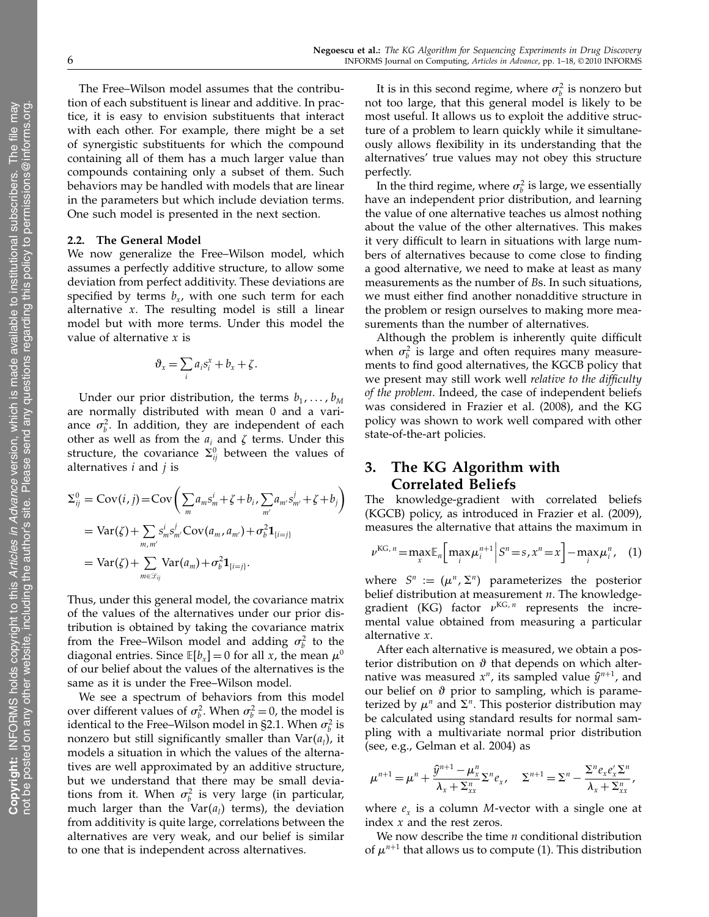The Free–Wilson model assumes that the contribution of each substituent is linear and additive. In practice, it is easy to envision substituents that interact with each other. For example, there might be a set of synergistic substituents for which the compound containing all of them has a much larger value than compounds containing only a subset of them. Such behaviors may be handled with models that are linear in the parameters but which include deviation terms. One such model is presented in the next section.

#### 2.2. The General Model

We now generalize the Free–Wilson model, which assumes a perfectly additive structure, to allow some deviation from perfect additivity. These deviations are specified by terms  $b_x$ , with one such term for each alternative  $x$ . The resulting model is still a linear model but with more terms. Under this model the value of alternative  $x$  is

$$
\vartheta_x = \sum_i a_i s_i^x + b_x + \zeta.
$$

Under our prior distribution, the terms  $b_1, \ldots, b_M$ are normally distributed with mean 0 and a variance  $\sigma_b^2$ . In addition, they are independent of each other as well as from the  $a_i$  and  $\zeta$  terms. Under this structure, the covariance  $\Sigma^0_{ij}$  between the values of alternatives  $i$  and  $j$  is

$$
\Sigma_{ij}^{0} = \text{Cov}(i, j) = \text{Cov}\left(\sum_{m} a_{m} s_{m}^{i} + \zeta + b_{i}, \sum_{m'} a_{m'} s_{m'}^{j} + \zeta + b_{j}\right)
$$
  
=  $\text{Var}(\zeta) + \sum_{m, m'} s_{m'}^{i} s_{m'}^{j} \text{Cov}(a_{m}, a_{m'}) + \sigma_{b}^{2} \mathbf{1}_{\{i=j\}}$   
=  $\text{Var}(\zeta) + \sum_{m \in \mathcal{L}_{ij}} \text{Var}(a_{m}) + \sigma_{b}^{2} \mathbf{1}_{\{i=j\}}.$ 

Thus, under this general model, the covariance matrix of the values of the alternatives under our prior distribution is obtained by taking the covariance matrix from the Free–Wilson model and adding  $\sigma_b^2$  to the diagonal entries. Since  $\mathbb{E}[b_x] = 0$  for all x, the mean  $\mu^0$ of our belief about the values of the alternatives is the same as it is under the Free–Wilson model.

We see a spectrum of behaviors from this model over different values of  $\sigma_b^2$ . When  $\sigma_b^2 = 0$ , the model is identical to the Free–Wilson model in §2.1. When  $\sigma_b^2$  is nonzero but still significantly smaller than  $Var(a_l)$ , it models a situation in which the values of the alternatives are well approximated by an additive structure, but we understand that there may be small deviations from it. When  $\sigma_b^2$  is very large (in particular, much larger than the Var $(a<sub>l</sub>)$  terms), the deviation from additivity is quite large, correlations between the alternatives are very weak, and our belief is similar to one that is independent across alternatives.

It is in this second regime, where  $\sigma_b^2$  is nonzero but not too large, that this general model is likely to be most useful. It allows us to exploit the additive structure of a problem to learn quickly while it simultaneously allows flexibility in its understanding that the alternatives' true values may not obey this structure perfectly.

In the third regime, where  $\sigma_b^2$  is large, we essentially have an independent prior distribution, and learning the value of one alternative teaches us almost nothing about the value of the other alternatives. This makes it very difficult to learn in situations with large numbers of alternatives because to come close to finding a good alternative, we need to make at least as many measurements as the number of Bs. In such situations, we must either find another nonadditive structure in the problem or resign ourselves to making more measurements than the number of alternatives.

Although the problem is inherently quite difficult when  $\sigma_b^2$  is large and often requires many measurements to find good alternatives, the KGCB policy that we present may still work well relative to the difficulty of the problem. Indeed, the case of independent beliefs was considered in Frazier et al. (2008), and the KG policy was shown to work well compared with other state-of-the-art policies.

# 3. The KG Algorithm with Correlated Beliefs

The knowledge-gradient with correlated beliefs (KGCB) policy, as introduced in Frazier et al. (2009), measures the alternative that attains the maximum in

$$
\nu^{\text{KG},n} = \max_{x} \mathbb{E}_n \left[ \max_i \mu_i^{n+1} \middle| S^n = s, x^n = x \right] - \max_i \mu_i^n, \quad (1)
$$

where  $S^n := (\mu^n, \Sigma^n)$  parameterizes the posterior belief distribution at measurement  $n$ . The knowledgegradient (KG) factor  $v^{KG, n}$  represents the incremental value obtained from measuring a particular alternative x.

After each alternative is measured, we obtain a posterior distribution on  $\vartheta$  that depends on which alternative was measured  $x^n$ , its sampled value  $\hat{y}^{n+1}$ , and our belief on  $\vartheta$  prior to sampling, which is parameterized by  $\mu^n$  and  $\Sigma^n$ . This posterior distribution may be calculated using standard results for normal sampling with a multivariate normal prior distribution (see, e.g., Gelman et al. 2004) as

$$
\mu^{n+1} = \mu^{n} + \frac{\hat{y}^{n+1} - \mu_{x}^{n}}{\lambda_{x} + \Sigma_{xx}^{n}} \Sigma^{n} e_{x}, \quad \Sigma^{n+1} = \Sigma^{n} - \frac{\Sigma^{n} e_{x} e_{x}' \Sigma^{n}}{\lambda_{x} + \Sigma_{xx}^{n}},
$$

where  $e_x$  is a column M-vector with a single one at index x and the rest zeros.

We now describe the time  $n$  conditional distribution of  $\mu^{n+1}$  that allows us to compute (1). This distribution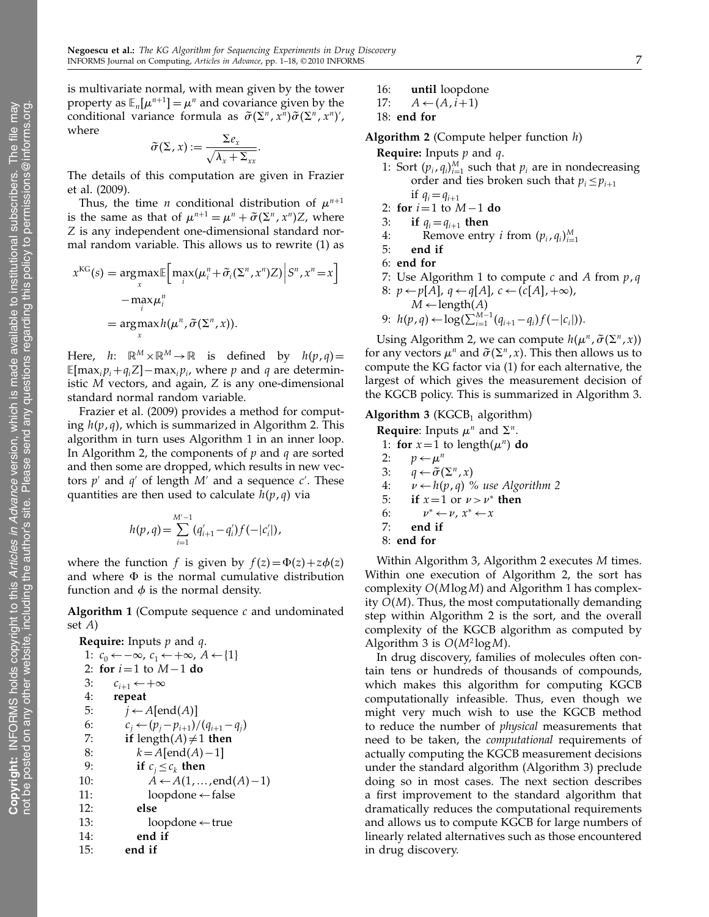16: until loopdone

17:  $A \leftarrow (A, i+1)$ 

18: end for

**Algorithm 2** (Compute helper function  $h$ )

**Require:** Inputs  $p$  and  $q$ .

- 1: Sort  $(p_i, q_i)_{i=1}^M$  such that  $p_i$  are in nondecreasing order and ties broken such that  $p_i \leq p_{i+1}$ if  $q_i = q_{i+1}$
- 2: for  $i=1$  to  $M-1$  do<br>3: if  $q_i = q_{i+1}$  then
- 3: if  $q_i = q_{i+1}$  then<br>4: Remove entr 4: Remove entry *i* from  $(p_i, q_i)_{i=1}^M$
- 5: end if

6: end for

7: Use Algorithm 1 to compute c and A from  $p,q$ 

8: 
$$
p \leftarrow p[A], q \leftarrow q[A], c \leftarrow (c[A], +\infty),
$$
  
 $M \leftarrow \text{length}(A)$ 

$$
M \leftarrow \text{length}(A) 9: h(p,q) \leftarrow \log(\sum_{i=1}^{M-1} (q_{i+1} - q_i) f(-|c_i|)).
$$

Using Algorithm 2, we can compute  $h(\mu^n, \tilde{\sigma}(\Sigma^n, x))$ for any vectors  $\mu^n$  and  $\tilde{\sigma}(\Sigma^n, x)$ . This then allows us to compute the KG factor via (1) for each alternative, the largest of which gives the measurement decision of the KGCB policy. This is summarized in Algorithm 3.

#### **Algorithm 3** (KGCB<sub>1</sub> algorithm)

**Require:** Inputs  $\mu^n$  and  $\Sigma^n$ .

1: for  $x=1$  to length $(\mu^n)$  do<br>2:  $v \leftarrow \mu^n$ 2:  $p \leftarrow \mu^n$ <br>3:  $q \leftarrow \tilde{\sigma}$ () 3:  $q \leftarrow \tilde{\sigma}(\Sigma^n, x)$ <br>4:  $\nu \leftarrow h(p, q)$  % 4:  $\nu \leftarrow h(p,q)$  % use Algorithm 2<br>5: **if**  $x=1$  or  $\nu > \nu^*$  **then** 5: if  $x=1$  or  $\nu > \nu^*$  then<br>6:  $\nu^* \leftarrow \nu$ ,  $x^* \leftarrow x$ 6:  $v^* \leftarrow v, x^* \leftarrow x$ <br>7: end if end if 8: end for

Within Algorithm 3, Algorithm 2 executes M times. Within one execution of Algorithm 2, the sort has complexity  $O(M \log M)$  and Algorithm 1 has complexity  $O(M)$ . Thus, the most computationally demanding step within Algorithm 2 is the sort, and the overall complexity of the KGCB algorithm as computed by Algorithm 3 is  $O(M^2 \log M)$ .

In drug discovery, families of molecules often contain tens or hundreds of thousands of compounds, which makes this algorithm for computing KGCB computationally infeasible. Thus, even though we might very much wish to use the KGCB method to reduce the number of physical measurements that need to be taken, the computational requirements of actually computing the KGCB measurement decisions under the standard algorithm (Algorithm 3) preclude doing so in most cases. The next section describes a first improvement to the standard algorithm that dramatically reduces the computational requirements and allows us to compute KGCB for large numbers of linearly related alternatives such as those encountered in drug discovery.

is multivariate normal, with mean given by the tower property as  $\mathbb{E}_n[\mu^{n+1}] = \mu^n$  and covariance given by the conditional variance formula as  $\tilde{\sigma}(\Sigma^n, x^n)\tilde{\sigma}(\Sigma^n, x^n)'$ , where

$$
\widetilde{\sigma}(\Sigma, x) := \frac{\Sigma e_x}{\sqrt{\lambda_x + \Sigma_{xx}}}.
$$

The details of this computation are given in Frazier et al. (2009).

Thus, the time *n* conditional distribution of  $\mu^{n+1}$ is the same as that of  $\mu^{n+1} = \mu^n + \tilde{\sigma}(\Sigma^n, x^n)Z$ , where Z is any independent one-dimensional standard normal random variable. This allows us to rewrite (1) as

$$
x^{KG}(s) = \underset{x}{\arg\max} \mathbb{E}\Big[\max_{i}(\mu_{i}^{n} + \tilde{\sigma}_{i}(\Sigma^{n}, x^{n})Z)\Big|S^{n}, x^{n} = x\Big] - \underset{x}{\max} \mu_{i}^{n}
$$

$$
= \underset{x}{\arg\max} h(\mu^{n}, \tilde{\sigma}(\Sigma^{n}, x)).
$$

Here, h:  $\mathbb{R}^M \times \mathbb{R}^M \to \mathbb{R}$  is defined by  $h(p,q) =$  $\mathbb{E}[\max_i p_i + q_i Z] - \max_i p_i$ , where p and q are deterministic  $M$  vectors, and again,  $Z$  is any one-dimensional standard normal random variable.

Frazier et al. (2009) provides a method for computing  $h(p, q)$ , which is summarized in Algorithm 2. This algorithm in turn uses Algorithm 1 in an inner loop. In Algorithm 2, the components of  $p$  and  $q$  are sorted and then some are dropped, which results in new vectors  $p'$  and  $q'$  of length  $M'$  and a sequence  $c'$ . These quantities are then used to calculate  $h(p,q)$  via

$$
h(p,q) = \sum_{i=1}^{M'-1} (q'_{i+1} - q'_i) f(-|c'_i|),
$$

where the function f is given by  $f(z) = \Phi(z) + z\phi(z)$ and where  $\Phi$  is the normal cumulative distribution function and  $\phi$  is the normal density.

Algorithm 1 (Compute sequence  $c$  and undominated set A)

**Require:** Inputs  $p$  and  $q$ .

```
1: c_0 \leftarrow -\infty, c_1 \leftarrow +\infty, A \leftarrow \{1\}2: for i=1 to M-1 do
 3: c_{i+1} \leftarrow +\infty<br>4: repeat
           repeat
 5: j \leftarrow A[\text{end}(A)]<br>6: c_i \leftarrow (p_i - p_{i+1})/26: c_j ← (p_j - p_{i+1})/(q_{i+1} - q_j)<br>7: if length(A) ≠ 1 then
 7: if length(A) \neq 1 then<br>8: k = A[\text{end}(A) - 1]8: k = A[\text{end}(A)-1]<br>9: if c_i < c_k then
9: if c_j \leq c_k then<br>10: A \leftarrow A(1,...)10: A \leftarrow A(1, \dots, \text{end}(A)-1)<br>11: loopdone ← false
11: loopdone ← false<br>12: else
                   else
13: loopdone ← true<br>14: end if
                   end if
15: end if
```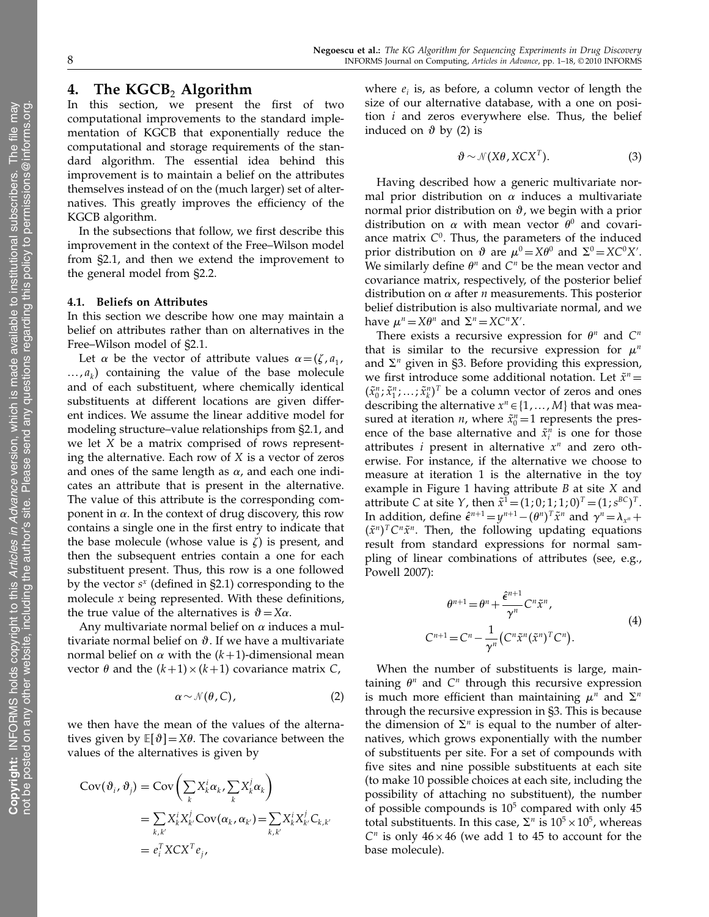# 4. The  $KGCB$ <sub>2</sub> Algorithm

In this section, we present the first of two computational improvements to the standard implementation of KGCB that exponentially reduce the computational and storage requirements of the standard algorithm. The essential idea behind this improvement is to maintain a belief on the attributes themselves instead of on the (much larger) set of alternatives. This greatly improves the efficiency of the KGCB algorithm.

In the subsections that follow, we first describe this improvement in the context of the Free–Wilson model from §2.1, and then we extend the improvement to the general model from §2.2.

#### 4.1. Beliefs on Attributes

In this section we describe how one may maintain a belief on attributes rather than on alternatives in the Free–Wilson model of §2.1.

Let  $\alpha$  be the vector of attribute values  $\alpha = (\zeta, a_1)$ ,  $..., a_k$ ) containing the value of the base molecule and of each substituent, where chemically identical substituents at different locations are given different indices. We assume the linear additive model for modeling structure–value relationships from §2.1, and we let X be a matrix comprised of rows representing the alternative. Each row of X is a vector of zeros and ones of the same length as  $\alpha$ , and each one indicates an attribute that is present in the alternative. The value of this attribute is the corresponding component in  $\alpha$ . In the context of drug discovery, this row contains a single one in the first entry to indicate that the base molecule (whose value is  $\zeta$ ) is present, and then the subsequent entries contain a one for each substituent present. Thus, this row is a one followed by the vector  $s^x$  (defined in §2.1) corresponding to the molecule  $x$  being represented. With these definitions, the true value of the alternatives is  $\vartheta = X\alpha$ .

Any multivariate normal belief on  $\alpha$  induces a multivariate normal belief on  $\vartheta.$  If we have a multivariate normal belief on  $\alpha$  with the  $(k+1)$ -dimensional mean vector  $\theta$  and the  $(k+1) \times (k+1)$  covariance matrix C,

$$
\alpha \sim \mathcal{N}(\theta, C), \tag{2}
$$

we then have the mean of the values of the alternatives given by  $\mathbb{E}[\vartheta] = X\theta$ . The covariance between the values of the alternatives is given by

$$
Cov(\vartheta_i, \vartheta_j) = Cov\left(\sum_k X_k^i \alpha_k, \sum_k X_k^j \alpha_k\right)
$$
  
= 
$$
\sum_{k,k'} X_k^i X_{k'}^j Cov(\alpha_k, \alpha_{k'}) = \sum_{k,k'} X_k^i X_{k'}^j C_{k,k'}
$$
  
= 
$$
e_i^T X C X^T e_j,
$$

where  $e_i$  is, as before, a column vector of length the size of our alternative database, with a one on position  $i$  and zeros everywhere else. Thus, the belief induced on  $\vartheta$  by (2) is

$$
\vartheta \sim \mathcal{N}(X\theta, XCX^T). \tag{3}
$$

Having described how a generic multivariate normal prior distribution on  $\alpha$  induces a multivariate normal prior distribution on  $\vartheta$ , we begin with a prior distribution on  $\alpha$  with mean vector  $\theta^0$  and covariance matrix  $C^0$ . Thus, the parameters of the induced prior distribution on  $\vartheta$  are  $\mu^0 = X\theta^0$  and  $\Sigma^0 = XC^0X'$ . We similarly define  $\theta^n$  and  $C^n$  be the mean vector and covariance matrix, respectively, of the posterior belief distribution on  $\alpha$  after *n* measurements. This posterior belief distribution is also multivariate normal, and we have  $\mu^n = X\theta^n$  and  $\Sigma^n = XC^nX'$ .

There exists a recursive expression for  $\theta^n$  and  $C^n$ that is similar to the recursive expression for  $\mu^n$ and  $\Sigma<sup>n</sup>$  given in §3. Before providing this expression, we first introduce some additional notation. Let  $\tilde{x}^n =$  $(\tilde{x}_0^n; \tilde{x}_1^n; \ldots; \tilde{x}_k^n)^T$  be a column vector of zeros and ones describing the alternative  $x^n \in \{1, ..., M\}$  that was measured at iteration *n*, where  $\tilde{x}_0^n = 1$  represents the presence of the base alternative and  $\tilde{x}_i^n$  is one for those attributes *i* present in alternative  $x^n$  and zero otherwise. For instance, if the alternative we choose to measure at iteration 1 is the alternative in the toy example in Figure 1 having attribute  $B$  at site  $X$  and attribute C at site Y, then  $\tilde{x}^1 = (1, 0, 1, 1, 0)^T = (1, s^{BC})^T$ . In addition, define  $\hat{\epsilon}^{n+1} = y^{n+1} - (\theta^n)^T \tilde{x}^n$  and  $\gamma^n = \lambda_{x^n} +$  $(\tilde{x}^n)^T C^n \tilde{x}^n$ . Then, the following updating equations result from standard expressions for normal sampling of linear combinations of attributes (see, e.g., Powell 2007):

$$
\theta^{n+1} = \theta^n + \frac{\hat{\epsilon}^{n+1}}{\gamma^n} C^n \tilde{x}^n,
$$
  
\n
$$
C^{n+1} = C^n - \frac{1}{\gamma^n} \left( C^n \tilde{x}^n (\tilde{x}^n)^T C^n \right).
$$
\n(4)

When the number of substituents is large, maintaining  $\theta^n$  and  $C^n$  through this recursive expression is much more efficient than maintaining  $\mu^n$  and  $\Sigma^n$ through the recursive expression in §3. This is because the dimension of  $\Sigma<sup>n</sup>$  is equal to the number of alternatives, which grows exponentially with the number of substituents per site. For a set of compounds with five sites and nine possible substituents at each site (to make 10 possible choices at each site, including the possibility of attaching no substituent), the number of possible compounds is  $10<sup>5</sup>$  compared with only 45 total substituents. In this case,  $\Sigma$ <sup>n</sup> is  $10^5 \times 10^5$ , whereas  $C<sup>n</sup>$  is only  $46 \times 46$  (we add 1 to 45 to account for the base molecule).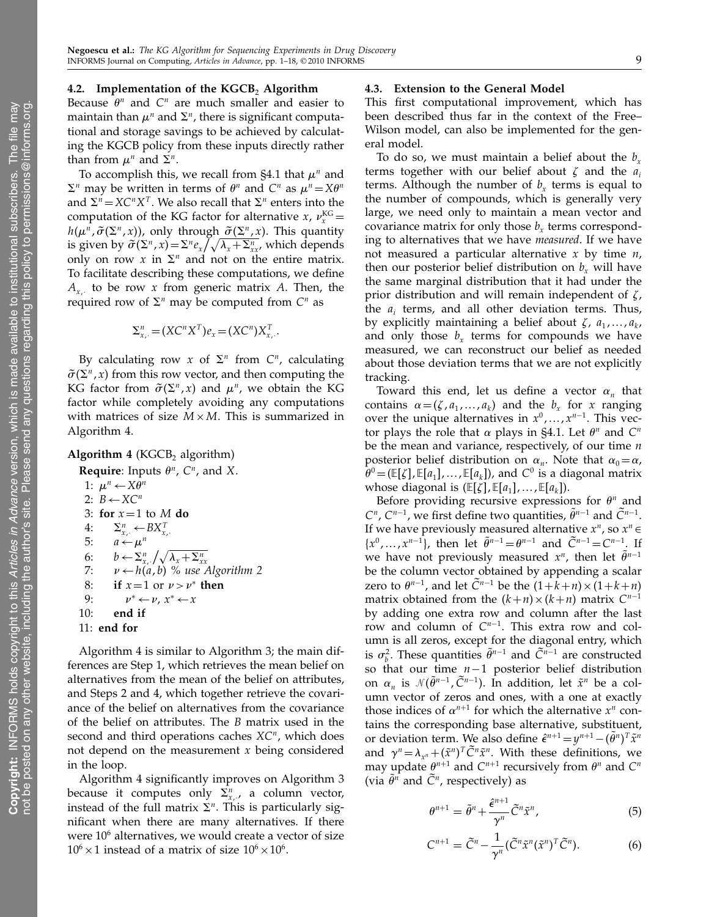## 4.2. Implementation of the  $KGCB<sub>2</sub>$  Algorithm

Because  $\theta^n$  and  $C^n$  are much smaller and easier to maintain than  $\mu^n$  and  $\Sigma^n$ , there is significant computational and storage savings to be achieved by calculating the KGCB policy from these inputs directly rather than from  $\mu^n$  and  $\Sigma^n$ .

To accomplish this, we recall from §4.1 that  $\mu^n$  and  $\Sigma^n$  may be written in terms of  $\theta^n$  and  $C^n$  as  $\mu^n = X\theta^n$ and  $\Sigma^n = XC^nX^T$ . We also recall that  $\Sigma^n$  enters into the computation of the KG factor for alternative *x*,  $v_x^{\text{KG}} =$  $h(\mu^n, \tilde{\sigma}(\Sigma^n, x))$ , only through  $\tilde{\sigma}(\Sigma^n, x)$ . This quantity is given by  $\widetilde{\sigma}(\Sigma^n, x) = \Sigma^n e_x \big/ \sqrt{\lambda_x + \Sigma^n_{xx}}$ , which depends only on row x in  $\Sigma<sup>n</sup>$  and not on the entire matrix. To facilitate describing these computations, we define  $A_{x_i}$  to be row x from generic matrix A. Then, the required row of  $\Sigma^n$  may be computed from  $C^n$  as

$$
\Sigma_{x,\cdot}^n = (XC^nX^T)e_x = (XC^n)X_{x,\cdot}^T.
$$

By calculating row x of  $\Sigma<sup>n</sup>$  from  $C<sup>n</sup>$ , calculating  $\tilde{\sigma}(\Sigma^n, x)$  from this row vector, and then computing the KG factor from  $\tilde{\sigma}(\Sigma^n, x)$  and  $\mu^n$ , we obtain the KG factor while completely avoiding any computations with matrices of size  $M \times M$ . This is summarized in Algorithm 4.

Algorithm  $4$  (KGCB<sub>2</sub> algorithm)

**Require:** Inputs  $\theta^n$ ,  $C^n$ , and X. 1:  $\mu^n \leftarrow X\theta^n$ 2:  $B \leftarrow XC^n$ 3: for  $x=1$  to M do<br>4:  $\Sigma_x^n \leftarrow BX_x^T$ 4:  $\Sigma_{x,\cdot}^n \leftarrow BX_{x,\cdot}^T$ 5:  $a \leftarrow \mu^n$ 6:  $b \leftarrow \sum_{x}^{n} / \sqrt{\lambda_x + \sum_{x}^{n}}$ 7:  $v \leftarrow h(a, b)$  % use Algorithm 2<br>8: **if**  $x = 1$  or  $v > v^*$  **then** 8: if  $x=1$  or  $\nu > \nu^*$  then<br>9:  $\nu^* \leftarrow \nu, x^* \leftarrow x$ 9:  $v^* \leftarrow v, x^* \leftarrow x$ <br>10: end if end if 11: end for

Algorithm 4 is similar to Algorithm 3; the main differences are Step 1, which retrieves the mean belief on alternatives from the mean of the belief on attributes, and Steps 2 and 4, which together retrieve the covariance of the belief on alternatives from the covariance of the belief on attributes. The B matrix used in the second and third operations caches  $XC<sup>n</sup>$ , which does not depend on the measurement  $x$  being considered in the loop.

Algorithm 4 significantly improves on Algorithm 3 because it computes only  $\Sigma_{x_i}^n$ , a column vector, instead of the full matrix  $\Sigma<sup>n</sup>$ . This is particularly significant when there are many alternatives. If there were  $10<sup>6</sup>$  alternatives, we would create a vector of size  $10^6 \times 1$  instead of a matrix of size  $10^6 \times 10^6$ .

#### 4.3. Extension to the General Model

This first computational improvement, which has been described thus far in the context of the Free– Wilson model, can also be implemented for the general model.

To do so, we must maintain a belief about the  $b<sub>r</sub>$ terms together with our belief about  $\zeta$  and the  $a_i$ terms. Although the number of  $b_x$  terms is equal to the number of compounds, which is generally very large, we need only to maintain a mean vector and covariance matrix for only those  $b<sub>x</sub>$  terms corresponding to alternatives that we have measured. If we have not measured a particular alternative  $x$  by time  $n$ , then our posterior belief distribution on  $b_x$  will have the same marginal distribution that it had under the prior distribution and will remain independent of  $\zeta$ , the  $a_i$  terms, and all other deviation terms. Thus, by explicitly maintaining a belief about  $\zeta$ ,  $a_1$ ,...,  $a_k$ , and only those  $b_x$  terms for compounds we have measured, we can reconstruct our belief as needed about those deviation terms that we are not explicitly tracking.

Toward this end, let us define a vector  $\alpha_n$  that contains  $\alpha = (\zeta, a_1, ..., a_k)$  and the  $b_x$  for x ranging over the unique alternatives in  $x^0$ , ...,  $x^{n-1}$ . This vector plays the role that  $\alpha$  plays in §4.1. Let  $\theta^n$  and  $C^n$ be the mean and variance, respectively, of our time  $n$ posterior belief distribution on  $\alpha_n$ . Note that  $\alpha_0 = \alpha$ ,  $\theta^0 = (\mathbb{E}[\zeta], \mathbb{E}[a_1], \dots, \mathbb{E}[a_k])$ , and  $C^0$  is a diagonal matrix whose diagonal is  $(E[\zeta], E[a_1], \ldots, E[a_k])$ .

Before providing recursive expressions for  $\theta^n$  and  $C^n$ ,  $C^{n-1}$ , we first define two quantities,  $\tilde{\theta}^{n-1}$  and  $\tilde{C}^{n-1}$ . If we have previously measured alternative  $x^n$ , so  $x^n \in$  $\{x^0, \ldots, x^{n-1}\}\$ , then let  $\hat{\theta}^{n-1} = \theta^{n-1}$  and  $\hat{C}^{n-1} = C^{n-1}$ . If we have not previously measured  $x^n$ , then let  $\theta^{n-1}$ be the column vector obtained by appending a scalar zero to  $\theta^{n-1}$ , and let  $\tilde{C}^{n-1}$  be the  $(1+k+n)\times(1+k+n)$ matrix obtained from the  $(k+n) \times (k+n)$  matrix  $C^{n-1}$ by adding one extra row and column after the last row and column of  $C^{n-1}$ . This extra row and column is all zeros, except for the diagonal entry, which is  $\sigma_b^2$ . These quantities  $\theta^{n-1}$  and  $C^{n-1}$  are constructed so that our time  $n-1$  posterior belief distribution on  $\alpha_n$  is  $\mathcal{N}(\theta^{n-1}, \mathbb{C}^{n-1})$ . In addition, let  $\tilde{x}^n$  be a column vector of zeros and ones, with a one at exactly those indices of  $\alpha^{n+1}$  for which the alternative  $x^n$  contains the corresponding base alternative, substituent, or deviation term. We also define  $\hat{\epsilon}^{n+1} = y^{n+1} - (\hat{\theta}^n)^T \tilde{x}^n$ and  $\gamma^n = \lambda_{x^n} + (\tilde{x}^n)^T C^n \tilde{x}^n$ . With these definitions, we may update  $\theta^{n+1}$  and  $C^{n+1}$  recursively from  $\theta^n$  and  $C^n$ (via  $\tilde{\theta}^n$  and  $\tilde{C}^n$ , respectively) as

$$
\theta^{n+1} = \tilde{\theta}^n + \frac{\hat{\epsilon}^{n+1}}{\gamma^n} \tilde{C}^n \tilde{x}^n, \tag{5}
$$

$$
C^{n+1} = \tilde{C}^n - \frac{1}{\gamma^n} (\tilde{C}^n \tilde{x}^n (\tilde{x}^n)^T \tilde{C}^n).
$$
 (6)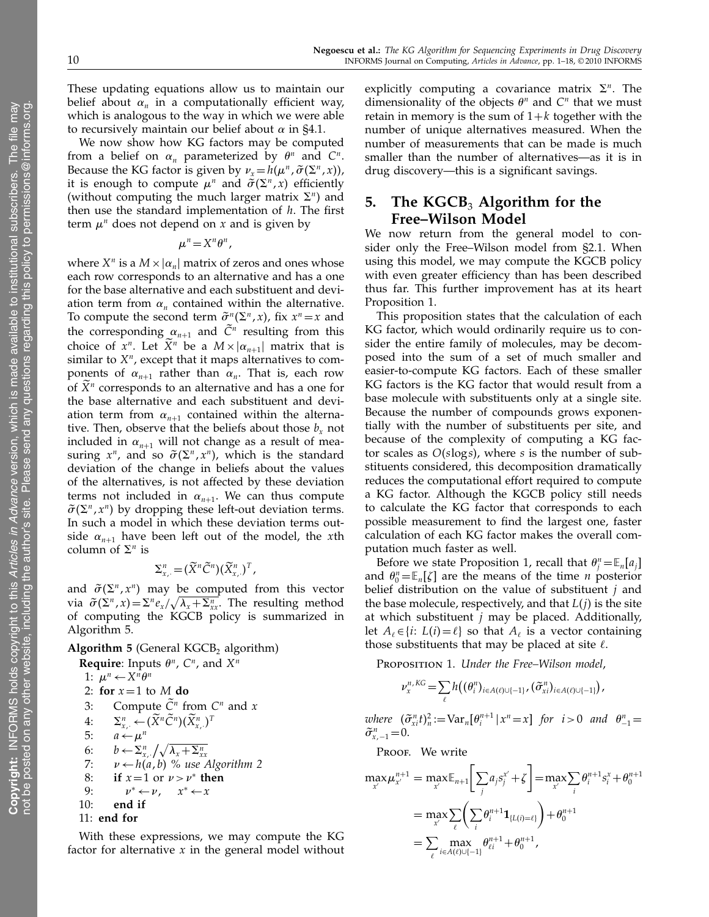These updating equations allow us to maintain our belief about  $\alpha_n$  in a computationally efficient way, which is analogous to the way in which we were able to recursively maintain our belief about  $\alpha$  in §4.1.

We now show how KG factors may be computed from a belief on  $\alpha_n$  parameterized by  $\theta^n$  and  $C^n$ . Because the KG factor is given by  $v_r = h(\mu^n, \tilde{\sigma}(\Sigma^n, x))$ , it is enough to compute  $\mu^n$  and  $\tilde{\sigma}(\Sigma^n, x)$  efficiently (without computing the much larger matrix  $\Sigma<sup>n</sup>$ ) and then use the standard implementation of  $h$ . The first term  $\mu^n$  does not depend on x and is given by

## $\mu^n = X^n \theta^n$ ,

where  $X^n$  is a  $M \times |\alpha_n|$  matrix of zeros and ones whose each row corresponds to an alternative and has a one for the base alternative and each substituent and deviation term from  $\alpha_n$  contained within the alternative. To compute the second term  $\tilde{\sigma}^n(\Sigma^n, x)$ , fix  $x^n = x$  and the corresponding  $\alpha_{n+1}$  and  $\tilde{C}^n$  resulting from this choice of  $x^n$ . Let  $\overline{X}^n$  be a  $M \times |\alpha_{n+1}|$  matrix that is similar to  $X<sup>n</sup>$ , except that it maps alternatives to components of  $\alpha_{n+1}$  rather than  $\alpha_n$ . That is, each row of  $\bar{X}^n$  corresponds to an alternative and has a one for the base alternative and each substituent and deviation term from  $\alpha_{n+1}$  contained within the alternative. Then, observe that the beliefs about those  $b_x$  not included in  $\alpha_{n+1}$  will not change as a result of measuring  $x^n$ , and so  $\tilde{\sigma}(\Sigma^n, x^n)$ , which is the standard deviation of the change in beliefs about the values of the alternatives, is not affected by these deviation terms not included in  $\alpha_{n+1}$ . We can thus compute  $\tilde{\sigma}(\Sigma^n, x^n)$  by dropping these left-out deviation terms. In such a model in which these deviation terms outside  $\alpha_{n+1}$  have been left out of the model, the xth column of  $\Sigma^n$  is

$$
\Sigma_{x_i}^n = (\widetilde{X}^n \widetilde{C}^n)(\widetilde{X}_{x_i}^n)^T,
$$

and  $\tilde{\sigma}(\Sigma^n, x^n)$  may be computed from this vector via  $\tilde{\sigma}(\Sigma^n, x) = \Sigma^n e_x / \sqrt{\lambda_x + \Sigma^n_{xx}}$ . The resulting method of computing the KGCB policy is summarized in Algorithm 5.

## Algorithm 5 (General  $KGCB<sub>2</sub>$  algorithm)

Require: Inputs <sup>n</sup>, C<sup>n</sup>, and X<sup>n</sup> 1: <sup>n</sup>←Xnn 2: for x=1 to M do 3: Compute C<sup>n</sup> from C<sup>n</sup> and x 4: n x·←XnCnX<sup>n</sup> x· T 5: a←<sup>n</sup> 6: b← <sup>n</sup> x· x+ n xx 7: ←hab % use Algorithm 2 8: if x=1 or ><sup>∗</sup> then 9: ∗← x∗←x 10: end if 11: end for

With these expressions, we may compute the KG factor for alternative  $x$  in the general model without

explicitly computing a covariance matrix  $\Sigma^n$ . The dimensionality of the objects  $\theta^n$  and  $C^n$  that we must retain in memory is the sum of  $1+k$  together with the number of unique alternatives measured. When the number of measurements that can be made is much smaller than the number of alternatives—as it is in drug discovery—this is a significant savings.

# 5. The  $KGCB<sub>3</sub>$  Algorithm for the Free–Wilson Model

We now return from the general model to consider only the Free–Wilson model from §2.1. When using this model, we may compute the KGCB policy with even greater efficiency than has been described thus far. This further improvement has at its heart Proposition 1.

This proposition states that the calculation of each KG factor, which would ordinarily require us to consider the entire family of molecules, may be decomposed into the sum of a set of much smaller and easier-to-compute KG factors. Each of these smaller KG factors is the KG factor that would result from a base molecule with substituents only at a single site. Because the number of compounds grows exponentially with the number of substituents per site, and because of the complexity of computing a KG factor scales as  $O(s \log s)$ , where s is the number of substituents considered, this decomposition dramatically reduces the computational effort required to compute a KG factor. Although the KGCB policy still needs to calculate the KG factor that corresponds to each possible measurement to find the largest one, faster calculation of each KG factor makes the overall computation much faster as well.

Before we state Proposition 1, recall that  $\theta_j^n = \mathbb{E}_n[a_j]$ and  $\theta_0^n = \mathbb{E}_n[\zeta]$  are the means of the time *n* posterior belief distribution on the value of substituent  $j$  and the base molecule, respectively, and that  $L(j)$  is the site at which substituent  $j$  may be placed. Additionally, let  $A_{\ell} \in \{i: L(i) = \ell\}$  so that  $A_{\ell}$  is a vector containing those substituents that may be placed at site  $\ell$ .

PROPOSITION 1. Under the Free–Wilson model,

$$
\nu_x^{n,KG} = \sum_{\ell} h\big((\theta_i^n)_{i \in A(\ell) \cup \{-1\}}, (\tilde{\sigma}_{xi}^n)_{i \in A(\ell) \cup \{-1\}}\big),
$$

where  $(\tilde{\sigma}_{xi}^n t)_n^2 := \text{Var}_n[\theta_i^{n+1} | x^n = x]$  for  $i > 0$  and  $\theta_{-1}^n =$  $\tilde{\sigma}_{x,-1}^n = 0.$ 

PROOF. We write

$$
\max_{x'} \mu_{x'}^{n+1} = \max_{x'} \mathbb{E}_{n+1} \bigg[ \sum_{j} a_j s_j^{x'} + \zeta \bigg] = \max_{x'} \sum_{i} \theta_i^{n+1} s_i^{x} + \theta_0^{n+1}
$$

$$
= \max_{x'} \sum_{\ell} \bigg( \sum_{i} \theta_i^{n+1} \mathbf{1}_{\{L(i) = \ell\}} \bigg) + \theta_0^{n+1}
$$

$$
= \sum_{\ell} \max_{i \in A(\ell) \cup \{-1\}} \theta_{\ell i}^{n+1} + \theta_0^{n+1},
$$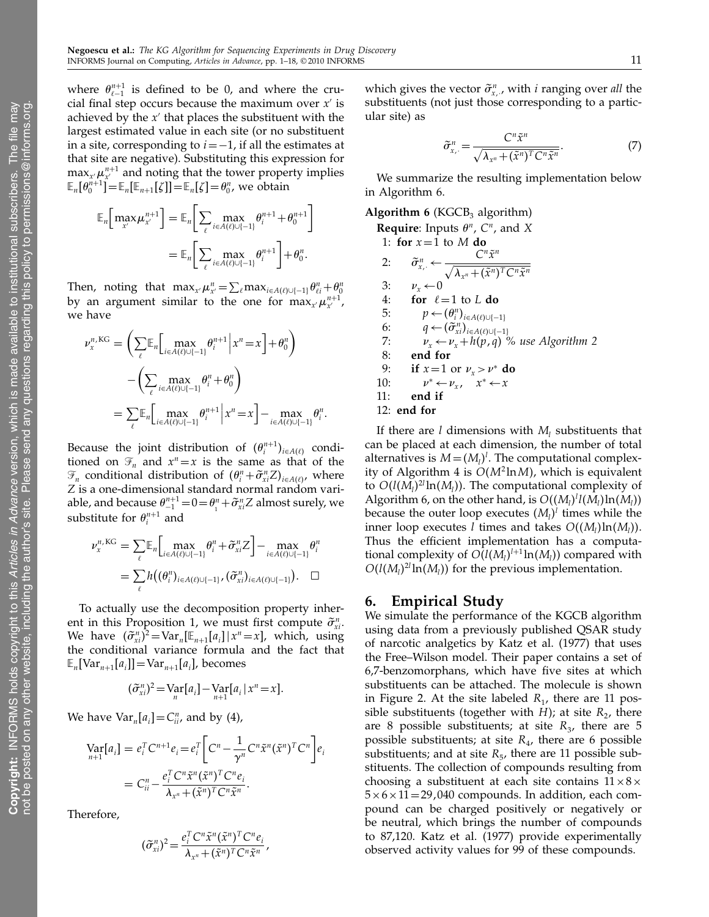where  $\theta_{\ell-1}^{n+1}$  is defined to be 0, and where the crucial final step occurs because the maximum over  $x'$  is achieved by the  $x'$  that places the substituent with the largest estimated value in each site (or no substituent in a site, corresponding to  $i=-1$ , if all the estimates at that site are negative). Substituting this expression for  $\max_{x'} \mu_{x'}^{n+1}$  and noting that the tower property implies  $\mathbb{E}_n[\theta_0^{n+1}] = \mathbb{E}_n[\mathbb{E}_{n+1}[\zeta]] = \mathbb{E}_n[\zeta] = \theta_0^n$ , we obtain

$$
\mathbb{E}_n \bigg[ \max_{x'} \mu_{x'}^{n+1} \bigg] = \mathbb{E}_n \bigg[ \sum_{\ell} \max_{i \in A(\ell) \cup \{-1\}} \theta_i^{n+1} + \theta_0^{n+1} \bigg]
$$

$$
= \mathbb{E}_n \bigg[ \sum_{\ell} \max_{i \in A(\ell) \cup \{-1\}} \theta_i^{n+1} \bigg] + \theta_0^n.
$$

Then, noting that  $\max_{x'} \mu_{x'}^n = \sum_{\ell} \max_{i \in A(\ell) \cup \{-1\}} \theta_{\ell i}^n + \theta_0^n$ by an argument similar to the one for  $\max_{x'} \mu_{x'}^{n+1}$ , we have

$$
\nu_x^{n,KG} = \left(\sum_{\ell} \mathbb{E}_n \left[\max_{i \in A(\ell) \cup \{-1\}} \theta_i^{n+1} \middle| x^n = x\right] + \theta_0^n\right) - \left(\sum_{\ell} \max_{i \in A(\ell) \cup \{-1\}} \theta_i^n + \theta_0^n\right) = \sum_{\ell} \mathbb{E}_n \left[\max_{i \in A(\ell) \cup \{-1\}} \theta_i^{n+1} \middle| x^n = x\right] - \max_{i \in A(\ell) \cup \{-1\}} \theta_i^n.
$$

Because the joint distribution of  $(\theta_i^{n+1})_{i \in A(\ell)}$  conditioned on  $\mathcal{F}_n$  and  $x^n = x$  is the same as that of the  $\mathcal{F}_n$  conditional distribution of  $(\theta_i^n + \tilde{\sigma}_{xi}^n Z)_{i \in A(\ell)}$ , where Z is a one-dimensional standard normal random variable, and because  $\theta_{-1}^{n+1} = 0 = \theta_1^n + \tilde{\sigma}_{xi}^n Z$  almost surely, we substitute for  $\theta_i^{n+1}$  and

$$
\nu_x^{n,\text{KG}} = \sum_{\ell} \mathbb{E}_n \Big[ \max_{i \in A(\ell) \cup \{-1\}} \theta_i^n + \tilde{\sigma}_{xi}^n Z \Big] - \max_{i \in A(\ell) \cup \{-1\}} \theta_i^n
$$

$$
= \sum_{\ell} h\big((\theta_i^n)_{i \in A(\ell) \cup \{-1\}} \setminus (\tilde{\sigma}_{xi}^n)_{i \in A(\ell) \cup \{-1\}}\big). \quad \Box
$$

To actually use the decomposition property inherent in this Proposition 1, we must first compute  $\tilde{\sigma}_{xi}^{n}$ . We have  $(\tilde{\sigma}_{xi}^n)^2 = \text{Var}_n[\mathbb{E}_{n+1}[a_i]|x^n = x]$ , which, using the conditional variance formula and the fact that  $\mathbb{E}_n[\text{Var}_{n+1}[a_i]] = \text{Var}_{n+1}[a_i]$ , becomes

$$
(\tilde{\sigma}_{xi}^n)^2 = \text{Var}[a_i] - \text{Var}[a_i | x^n = x].
$$

We have  $Var_n[a_i] = C_{ii}^n$ , and by (4),

$$
\operatorname{Var}_{n+1}[a_i] = e_i^T C^{n+1} e_i = e_i^T \left[ C^n - \frac{1}{\gamma^n} C^n \tilde{x}^n (\tilde{x}^n)^T C^n \right] e_i
$$
  
= 
$$
C_{ii}^n - \frac{e_i^T C^n \tilde{x}^n (\tilde{x}^n)^T C^n e_i}{\lambda_{x^n} + (\tilde{x}^n)^T C^n \tilde{x}^n}.
$$

Therefore,

$$
(\widetilde{\sigma}_{xi}^n)^2 = \frac{e_i^T C^n \widetilde{x}^n (\widetilde{x}^n)^T C^n e_i}{\lambda_{x^n} + (\widetilde{x}^n)^T C^n \widetilde{x}^n},
$$

which gives the vector  $\tilde{\sigma}_{x,\cdot}^n$ , with *i* ranging over *all* the substituents (not just those corresponding to a particular site) as

$$
\tilde{\sigma}_{x_{\prime}}^n = \frac{C^n \tilde{x}^n}{\sqrt{\lambda_{x^n} + (\tilde{x}^n)^T C^n \tilde{x}^n}}.
$$
\n(7)

We summarize the resulting implementation below in Algorithm 6.

Algorithm 6 (KGCB<sub>3</sub> algorithm)

**Require:** Inputs  $\theta^n$ ,  $C^n$ , and X

1: for  $x=1$  to M do  $2\colon\quad \widetilde{\sigma}_{x,\cdot}^n \leftarrow \frac{C^n\tilde{x}^n}{\sqrt{\lambda_{x^n}+(\tilde{x}^n)^T C^n\tilde{x}^n}}$ 3:  $v_x \leftarrow 0$ 4: for  $\ell = 1$  to L do<br>5:  $p \leftarrow (\theta_i^n)_{i \in A(\ell) \cup \ell - 1}$ 5:  $p \leftarrow (\theta_i^n)_{i \in A(\ell) \cup \{-1\}}$ 6:  $q \leftarrow (\tilde{\sigma}_{xi}^n)_{i \in A(\ell) \cup \{-1\}}$ 7:  $v_x \leftarrow v_x + h(p,q)$  % use Algorithm 2<br>8: **end for** end for 9: if  $x=1$  or  $\nu_x > \nu^*$  do<br>10:  $\nu^* \leftarrow \nu_{x}$ ,  $x^* \leftarrow x$ 10:  $v^* \leftarrow v_x$ ,  $x^* \leftarrow x$ <br>11: **end if** end if 12: end for

If there are *l* dimensions with  $M_l$  substituents that can be placed at each dimension, the number of total alternatives is  $M = (M_l)^l$ . The computational complexity of Algorithm 4 is  $O(M^2 \ln M)$ , which is equivalent to  $O(l(M_l)^{2l}\ln(M_l))$ . The computational complexity of Algorithm 6, on the other hand, is  $O((M_l)^l l(M_l) \ln(M_l))$ because the outer loop executes  $(M_l)^l$  times while the inner loop executes *l* times and takes  $O((M_l) \ln(M_l)).$ Thus the efficient implementation has a computational complexity of  $O(l(M_l)^{l+1} \ln(M_l))$  compared with  $O(l(M_l)^{2l}\ln(M_l))$  for the previous implementation.

# 6. Empirical Study

We simulate the performance of the KGCB algorithm using data from a previously published QSAR study of narcotic analgetics by Katz et al. (1977) that uses the Free–Wilson model. Their paper contains a set of 6,7-benzomorphans, which have five sites at which substituents can be attached. The molecule is shown in Figure 2. At the site labeled  $R_1$ , there are 11 possible substituents (together with  $H$ ); at site  $R_2$ , there are 8 possible substituents; at site  $R_3$ , there are 5 possible substituents; at site  $R<sub>4</sub>$ , there are 6 possible substituents; and at site  $R_5$ , there are 11 possible substituents. The collection of compounds resulting from choosing a substituent at each site contains  $11 \times 8 \times$  $5 \times 6 \times 11 = 29,040$  compounds. In addition, each compound can be charged positively or negatively or be neutral, which brings the number of compounds to 87,120. Katz et al. (1977) provide experimentally observed activity values for 99 of these compounds.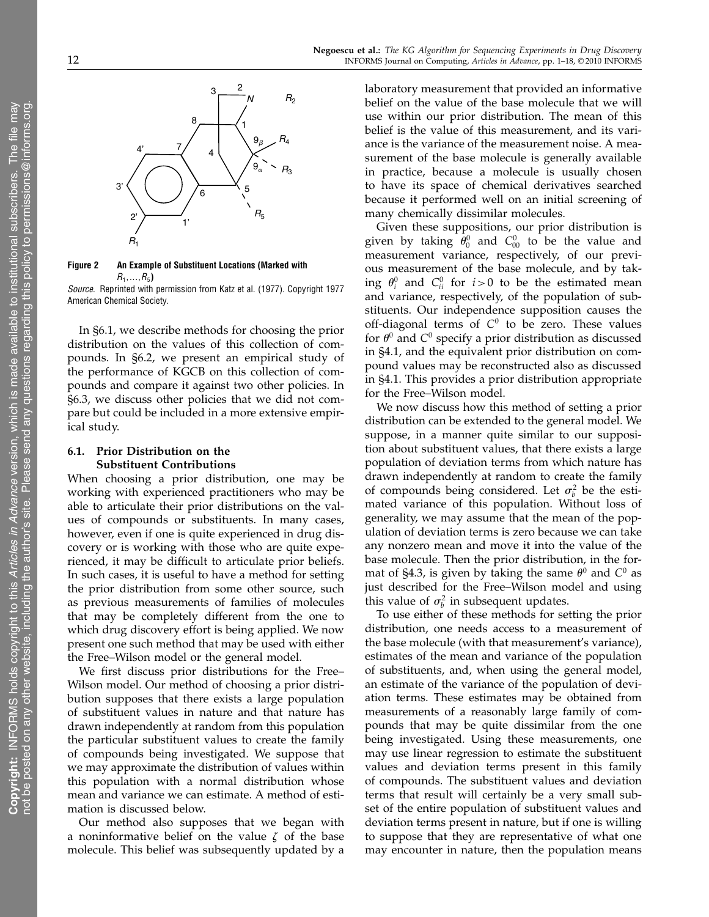

Figure 2 An Example of Substituent Locations (Marked with  $R_1, ..., R_5$ )

Source. Reprinted with permission from Katz et al. (1977). Copyright 1977 American Chemical Society.

In §6.1, we describe methods for choosing the prior distribution on the values of this collection of compounds. In §6.2, we present an empirical study of the performance of KGCB on this collection of compounds and compare it against two other policies. In §6.3, we discuss other policies that we did not compare but could be included in a more extensive empirical study.

# 6.1. Prior Distribution on the Substituent Contributions

When choosing a prior distribution, one may be working with experienced practitioners who may be able to articulate their prior distributions on the values of compounds or substituents. In many cases, however, even if one is quite experienced in drug discovery or is working with those who are quite experienced, it may be difficult to articulate prior beliefs. In such cases, it is useful to have a method for setting the prior distribution from some other source, such as previous measurements of families of molecules that may be completely different from the one to which drug discovery effort is being applied. We now present one such method that may be used with either the Free–Wilson model or the general model.

We first discuss prior distributions for the Free– Wilson model. Our method of choosing a prior distribution supposes that there exists a large population of substituent values in nature and that nature has drawn independently at random from this population the particular substituent values to create the family of compounds being investigated. We suppose that we may approximate the distribution of values within this population with a normal distribution whose mean and variance we can estimate. A method of estimation is discussed below.

Our method also supposes that we began with a noninformative belief on the value  $\zeta$  of the base molecule. This belief was subsequently updated by a

laboratory measurement that provided an informative belief on the value of the base molecule that we will use within our prior distribution. The mean of this belief is the value of this measurement, and its variance is the variance of the measurement noise. A measurement of the base molecule is generally available in practice, because a molecule is usually chosen to have its space of chemical derivatives searched because it performed well on an initial screening of many chemically dissimilar molecules.

Given these suppositions, our prior distribution is given by taking  $\theta_0^0$  and  $C_{00}^0$  to be the value and measurement variance, respectively, of our previous measurement of the base molecule, and by taking  $\theta_i^0$  and  $C_{ii}^0$  for  $i > 0$  to be the estimated mean and variance, respectively, of the population of substituents. Our independence supposition causes the off-diagonal terms of  $C^0$  to be zero. These values for  $\theta^0$  and  $C^0$  specify a prior distribution as discussed in §4.1, and the equivalent prior distribution on compound values may be reconstructed also as discussed in §4.1. This provides a prior distribution appropriate for the Free–Wilson model.

We now discuss how this method of setting a prior distribution can be extended to the general model. We suppose, in a manner quite similar to our supposition about substituent values, that there exists a large population of deviation terms from which nature has drawn independently at random to create the family of compounds being considered. Let  $\sigma_b^2$  be the estimated variance of this population. Without loss of generality, we may assume that the mean of the population of deviation terms is zero because we can take any nonzero mean and move it into the value of the base molecule. Then the prior distribution, in the format of §4.3, is given by taking the same  $\theta^0$  and  $C^0$  as just described for the Free–Wilson model and using this value of  $\sigma_b^2$  in subsequent updates.

To use either of these methods for setting the prior distribution, one needs access to a measurement of the base molecule (with that measurement's variance), estimates of the mean and variance of the population of substituents, and, when using the general model, an estimate of the variance of the population of deviation terms. These estimates may be obtained from measurements of a reasonably large family of compounds that may be quite dissimilar from the one being investigated. Using these measurements, one may use linear regression to estimate the substituent values and deviation terms present in this family of compounds. The substituent values and deviation terms that result will certainly be a very small subset of the entire population of substituent values and deviation terms present in nature, but if one is willing to suppose that they are representative of what one may encounter in nature, then the population means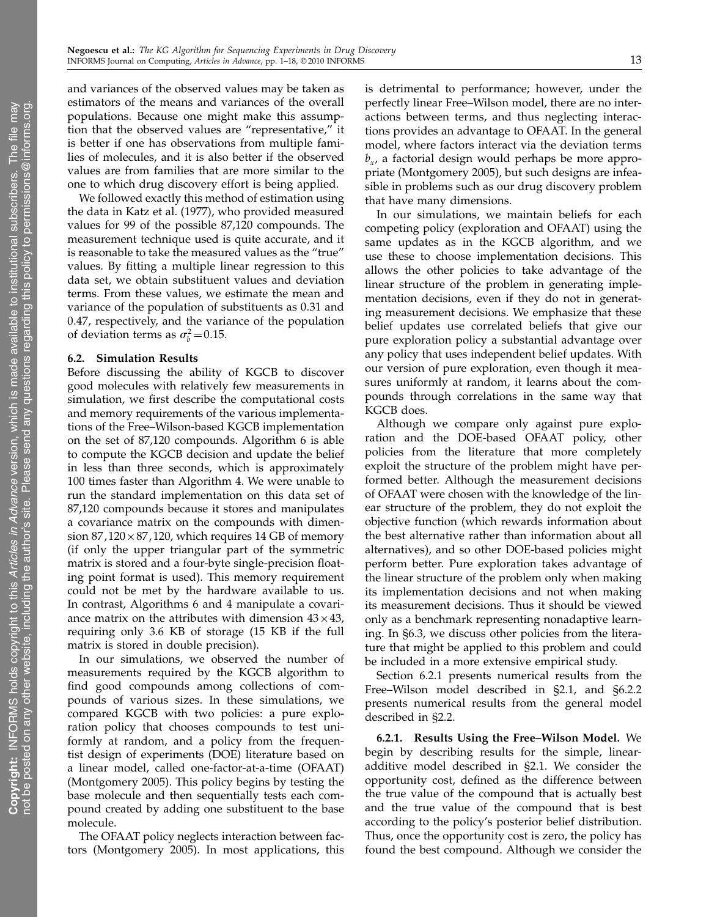and variances of the observed values may be taken as estimators of the means and variances of the overall populations. Because one might make this assumption that the observed values are "representative," it is better if one has observations from multiple families of molecules, and it is also better if the observed values are from families that are more similar to the one to which drug discovery effort is being applied.

We followed exactly this method of estimation using the data in Katz et al. (1977), who provided measured values for 99 of the possible 87,120 compounds. The measurement technique used is quite accurate, and it is reasonable to take the measured values as the "true" values. By fitting a multiple linear regression to this data set, we obtain substituent values and deviation terms. From these values, we estimate the mean and variance of the population of substituents as 0.31 and 047, respectively, and the variance of the population of deviation terms as  $\sigma_b^2 = 0.15$ .

#### 6.2. Simulation Results

Before discussing the ability of KGCB to discover good molecules with relatively few measurements in simulation, we first describe the computational costs and memory requirements of the various implementations of the Free–Wilson-based KGCB implementation on the set of 87,120 compounds. Algorithm 6 is able to compute the KGCB decision and update the belief in less than three seconds, which is approximately 100 times faster than Algorithm 4. We were unable to run the standard implementation on this data set of 87,120 compounds because it stores and manipulates a covariance matrix on the compounds with dimension  $87,120\times87,120$ , which requires 14 GB of memory (if only the upper triangular part of the symmetric matrix is stored and a four-byte single-precision floating point format is used). This memory requirement could not be met by the hardware available to us. In contrast, Algorithms 6 and 4 manipulate a covariance matrix on the attributes with dimension  $43 \times 43$ , requiring only 3.6 KB of storage (15 KB if the full matrix is stored in double precision).

In our simulations, we observed the number of measurements required by the KGCB algorithm to find good compounds among collections of compounds of various sizes. In these simulations, we compared KGCB with two policies: a pure exploration policy that chooses compounds to test uniformly at random, and a policy from the frequentist design of experiments (DOE) literature based on a linear model, called one-factor-at-a-time (OFAAT) (Montgomery 2005). This policy begins by testing the base molecule and then sequentially tests each compound created by adding one substituent to the base molecule.

The OFAAT policy neglects interaction between factors (Montgomery 2005). In most applications, this is detrimental to performance; however, under the perfectly linear Free–Wilson model, there are no interactions between terms, and thus neglecting interactions provides an advantage to OFAAT. In the general model, where factors interact via the deviation terms  $b<sub>x</sub>$ , a factorial design would perhaps be more appropriate (Montgomery 2005), but such designs are infeasible in problems such as our drug discovery problem that have many dimensions.

In our simulations, we maintain beliefs for each competing policy (exploration and OFAAT) using the same updates as in the KGCB algorithm, and we use these to choose implementation decisions. This allows the other policies to take advantage of the linear structure of the problem in generating implementation decisions, even if they do not in generating measurement decisions. We emphasize that these belief updates use correlated beliefs that give our pure exploration policy a substantial advantage over any policy that uses independent belief updates. With our version of pure exploration, even though it measures uniformly at random, it learns about the compounds through correlations in the same way that KGCB does.

Although we compare only against pure exploration and the DOE-based OFAAT policy, other policies from the literature that more completely exploit the structure of the problem might have performed better. Although the measurement decisions of OFAAT were chosen with the knowledge of the linear structure of the problem, they do not exploit the objective function (which rewards information about the best alternative rather than information about all alternatives), and so other DOE-based policies might perform better. Pure exploration takes advantage of the linear structure of the problem only when making its implementation decisions and not when making its measurement decisions. Thus it should be viewed only as a benchmark representing nonadaptive learning. In §6.3, we discuss other policies from the literature that might be applied to this problem and could be included in a more extensive empirical study.

Section 6.2.1 presents numerical results from the Free–Wilson model described in §2.1, and §6.2.2 presents numerical results from the general model described in §2.2.

6.2.1. Results Using the Free–Wilson Model. We begin by describing results for the simple, linearadditive model described in §2.1. We consider the opportunity cost, defined as the difference between the true value of the compound that is actually best and the true value of the compound that is best according to the policy's posterior belief distribution. Thus, once the opportunity cost is zero, the policy has found the best compound. Although we consider the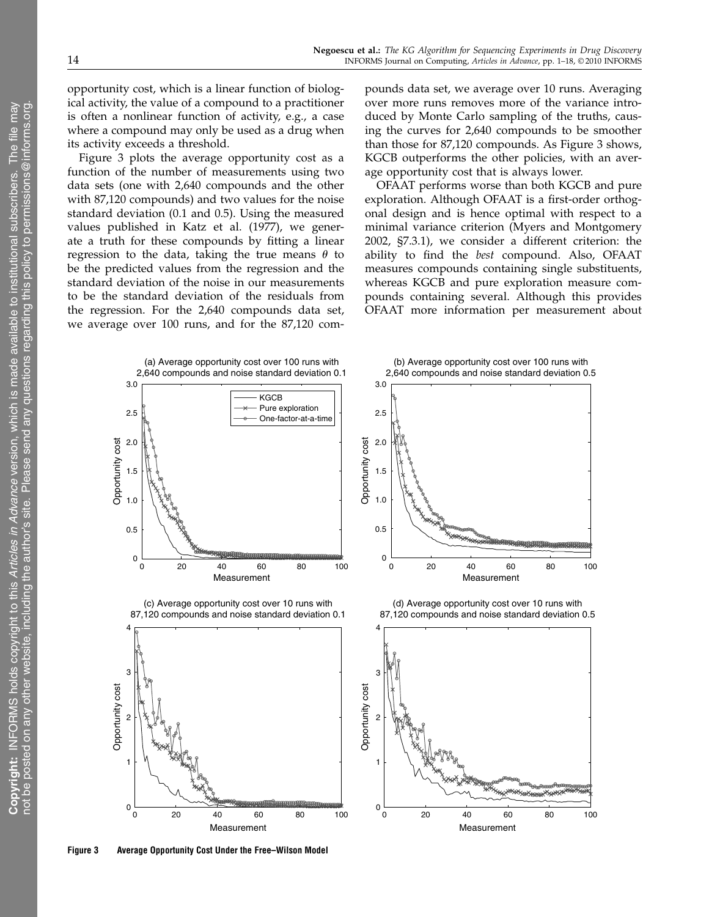opportunity cost, which is a linear function of biological activity, the value of a compound to a practitioner is often a nonlinear function of activity, e.g., a case where a compound may only be used as a drug when its activity exceeds a threshold.

Figure 3 plots the average opportunity cost as a function of the number of measurements using two data sets (one with 2,640 compounds and the other with 87,120 compounds) and two values for the noise standard deviation (0.1 and 0.5). Using the measured values published in Katz et al. (1977), we generate a truth for these compounds by fitting a linear regression to the data, taking the true means  $\theta$  to be the predicted values from the regression and the standard deviation of the noise in our measurements to be the standard deviation of the residuals from the regression. For the 2,640 compounds data set, we average over 100 runs, and for the 87,120 com-

pounds data set, we average over 10 runs. Averaging over more runs removes more of the variance introduced by Monte Carlo sampling of the truths, causing the curves for 2,640 compounds to be smoother than those for 87,120 compounds. As Figure 3 shows, KGCB outperforms the other policies, with an average opportunity cost that is always lower.

OFAAT performs worse than both KGCB and pure exploration. Although OFAAT is a first-order orthogonal design and is hence optimal with respect to a minimal variance criterion (Myers and Montgomery 2002, §7.3.1), we consider a different criterion: the ability to find the best compound. Also, OFAAT measures compounds containing single substituents, whereas KGCB and pure exploration measure compounds containing several. Although this provides OFAAT more information per measurement about



(c) Average opportunity cost over 10 runs with 87,120 compounds and noise standard deviation 0.1



Figure 3 Average Opportunity Cost Under the Free–Wilson Model





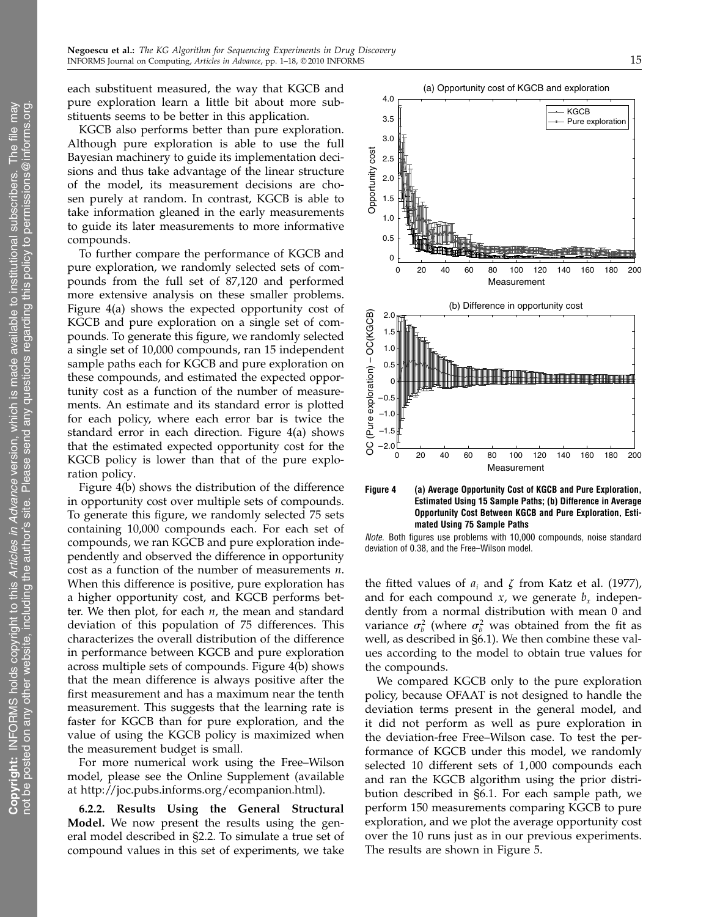each substituent measured, the way that KGCB and pure exploration learn a little bit about more substituents seems to be better in this application.

KGCB also performs better than pure exploration. Although pure exploration is able to use the full Bayesian machinery to guide its implementation decisions and thus take advantage of the linear structure of the model, its measurement decisions are chosen purely at random. In contrast, KGCB is able to take information gleaned in the early measurements to guide its later measurements to more informative compounds.

To further compare the performance of KGCB and pure exploration, we randomly selected sets of compounds from the full set of 87,120 and performed more extensive analysis on these smaller problems. Figure 4(a) shows the expected opportunity cost of KGCB and pure exploration on a single set of compounds. To generate this figure, we randomly selected a single set of 10,000 compounds, ran 15 independent sample paths each for KGCB and pure exploration on these compounds, and estimated the expected opportunity cost as a function of the number of measurements. An estimate and its standard error is plotted for each policy, where each error bar is twice the standard error in each direction. Figure 4(a) shows that the estimated expected opportunity cost for the KGCB policy is lower than that of the pure exploration policy.

Figure 4(b) shows the distribution of the difference in opportunity cost over multiple sets of compounds. To generate this figure, we randomly selected 75 sets containing 10,000 compounds each. For each set of compounds, we ran KGCB and pure exploration independently and observed the difference in opportunity cost as a function of the number of measurements  $n$ . When this difference is positive, pure exploration has a higher opportunity cost, and KGCB performs better. We then plot, for each  $n$ , the mean and standard deviation of this population of 75 differences. This characterizes the overall distribution of the difference in performance between KGCB and pure exploration across multiple sets of compounds. Figure 4(b) shows that the mean difference is always positive after the first measurement and has a maximum near the tenth measurement. This suggests that the learning rate is faster for KGCB than for pure exploration, and the value of using the KGCB policy is maximized when the measurement budget is small.

For more numerical work using the Free–Wilson model, please see the Online Supplement (available at http://joc.pubs.informs.org/ecompanion.html).

6.2.2. Results Using the General Structural Model. We now present the results using the general model described in §2.2. To simulate a true set of compound values in this set of experiments, we take



(a) Opportunity cost of KGCB and exploration

3.0 3.5 4.0

Figure 4 (a) Average Opportunity Cost of KGCB and Pure Exploration, Estimated Using 15 Sample Paths; (b) Difference in Average Opportunity Cost Between KGCB and Pure Exploration, Estimated Using 75 Sample Paths

Note. Both figures use problems with 10,000 compounds, noise standard deviation of 0.38, and the Free–Wilson model.

the fitted values of  $a_i$  and  $\zeta$  from Katz et al. (1977), and for each compound  $x$ , we generate  $b_x$  independently from a normal distribution with mean 0 and variance  $\sigma_b^2$  (where  $\sigma_b^2$  was obtained from the fit as well, as described in §6.1). We then combine these values according to the model to obtain true values for the compounds.

We compared KGCB only to the pure exploration policy, because OFAAT is not designed to handle the deviation terms present in the general model, and it did not perform as well as pure exploration in the deviation-free Free–Wilson case. To test the performance of KGCB under this model, we randomly selected 10 different sets of  $1,000$  compounds each and ran the KGCB algorithm using the prior distribution described in §6.1. For each sample path, we perform 150 measurements comparing KGCB to pure exploration, and we plot the average opportunity cost over the 10 runs just as in our previous experiments. The results are shown in Figure 5.

**KGCB** Pure exploration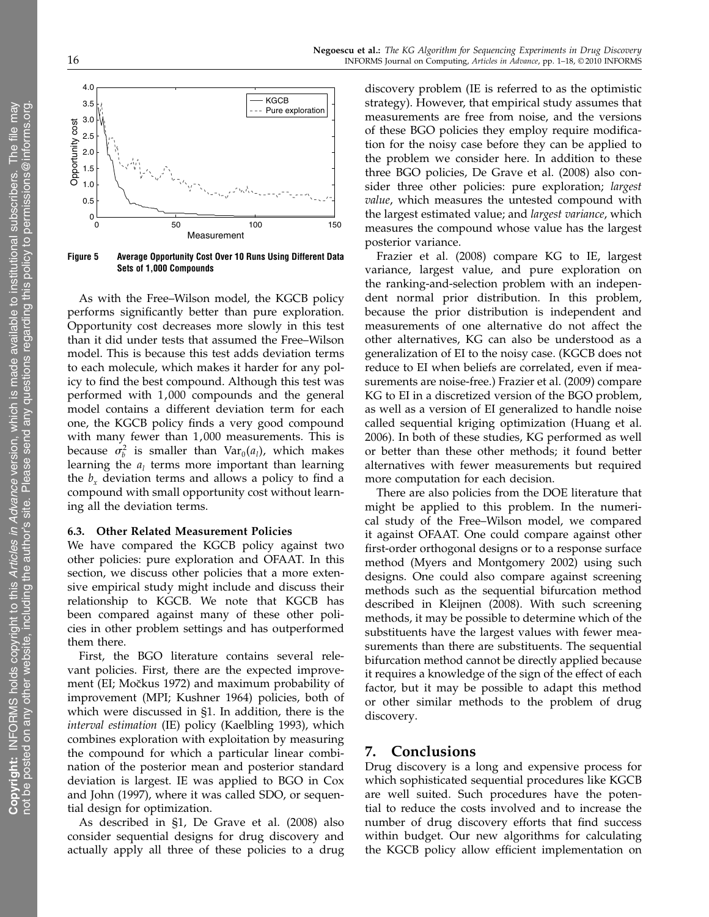

Figure 5 Average Opportunity Cost Over 10 Runs Using Different Data Sets of 1,000 Compounds

As with the Free–Wilson model, the KGCB policy performs significantly better than pure exploration. Opportunity cost decreases more slowly in this test than it did under tests that assumed the Free–Wilson model. This is because this test adds deviation terms to each molecule, which makes it harder for any policy to find the best compound. Although this test was performed with 1,000 compounds and the general model contains a different deviation term for each one, the KGCB policy finds a very good compound with many fewer than  $1,000$  measurements. This is because  $\sigma_b^2$  is smaller than  $Var_0(a_l)$ , which makes learning the  $a_l$  terms more important than learning the  $b<sub>r</sub>$  deviation terms and allows a policy to find a compound with small opportunity cost without learning all the deviation terms.

#### 6.3. Other Related Measurement Policies

We have compared the KGCB policy against two other policies: pure exploration and OFAAT. In this section, we discuss other policies that a more extensive empirical study might include and discuss their relationship to KGCB. We note that KGCB has been compared against many of these other policies in other problem settings and has outperformed them there.

First, the BGO literature contains several relevant policies. First, there are the expected improvement (EI; Močkus 1972) and maximum probability of improvement (MPI; Kushner 1964) policies, both of which were discussed in §1. In addition, there is the interval estimation (IE) policy (Kaelbling 1993), which combines exploration with exploitation by measuring the compound for which a particular linear combination of the posterior mean and posterior standard deviation is largest. IE was applied to BGO in Cox and John (1997), where it was called SDO, or sequential design for optimization.

As described in §1, De Grave et al. (2008) also consider sequential designs for drug discovery and actually apply all three of these policies to a drug

discovery problem (IE is referred to as the optimistic strategy). However, that empirical study assumes that measurements are free from noise, and the versions of these BGO policies they employ require modification for the noisy case before they can be applied to the problem we consider here. In addition to these three BGO policies, De Grave et al. (2008) also consider three other policies: pure exploration; largest value, which measures the untested compound with the largest estimated value; and largest variance, which measures the compound whose value has the largest posterior variance.

Frazier et al. (2008) compare KG to IE, largest variance, largest value, and pure exploration on the ranking-and-selection problem with an independent normal prior distribution. In this problem, because the prior distribution is independent and measurements of one alternative do not affect the other alternatives, KG can also be understood as a generalization of EI to the noisy case. (KGCB does not reduce to EI when beliefs are correlated, even if measurements are noise-free.) Frazier et al. (2009) compare KG to EI in a discretized version of the BGO problem, as well as a version of EI generalized to handle noise called sequential kriging optimization (Huang et al. 2006). In both of these studies, KG performed as well or better than these other methods; it found better alternatives with fewer measurements but required more computation for each decision.

There are also policies from the DOE literature that might be applied to this problem. In the numerical study of the Free–Wilson model, we compared it against OFAAT. One could compare against other first-order orthogonal designs or to a response surface method (Myers and Montgomery 2002) using such designs. One could also compare against screening methods such as the sequential bifurcation method described in Kleijnen (2008). With such screening methods, it may be possible to determine which of the substituents have the largest values with fewer measurements than there are substituents. The sequential bifurcation method cannot be directly applied because it requires a knowledge of the sign of the effect of each factor, but it may be possible to adapt this method or other similar methods to the problem of drug discovery.

# 7. Conclusions

Drug discovery is a long and expensive process for which sophisticated sequential procedures like KGCB are well suited. Such procedures have the potential to reduce the costs involved and to increase the number of drug discovery efforts that find success within budget. Our new algorithms for calculating the KGCB policy allow efficient implementation on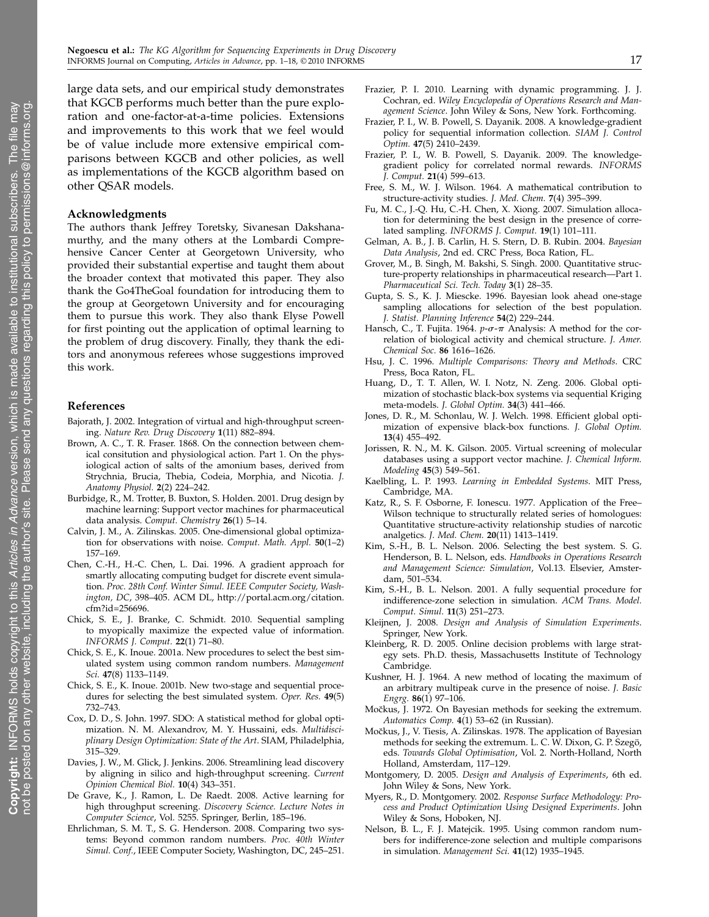large data sets, and our empirical study demonstrates that KGCB performs much better than the pure exploration and one-factor-at-a-time policies. Extensions and improvements to this work that we feel would be of value include more extensive empirical comparisons between KGCB and other policies, as well as implementations of the KGCB algorithm based on other QSAR models.

#### Acknowledgments

The authors thank Jeffrey Toretsky, Sivanesan Dakshanamurthy, and the many others at the Lombardi Comprehensive Cancer Center at Georgetown University, who provided their substantial expertise and taught them about the broader context that motivated this paper. They also thank the Go4TheGoal foundation for introducing them to the group at Georgetown University and for encouraging them to pursue this work. They also thank Elyse Powell for first pointing out the application of optimal learning to the problem of drug discovery. Finally, they thank the editors and anonymous referees whose suggestions improved this work.

#### References

- Bajorath, J. 2002. Integration of virtual and high-throughput screening. Nature Rev. Drug Discovery 1(11) 882–894.
- Brown, A. C., T. R. Fraser. 1868. On the connection between chemical consitution and physiological action. Part 1. On the physiological action of salts of the amonium bases, derived from Strychnia, Brucia, Thebia, Codeia, Morphia, and Nicotia. J. Anatomy Physiol. 2(2) 224–242.
- Burbidge, R., M. Trotter, B. Buxton, S. Holden. 2001. Drug design by machine learning: Support vector machines for pharmaceutical data analysis. Comput. Chemistry 26(1) 5–14.
- Calvin, J. M., A. Zilinskas. 2005. One-dimensional global optimization for observations with noise. Comput. Math. Appl. 50(1-2) 157–169.
- Chen, C.-H., H.-C. Chen, L. Dai. 1996. A gradient approach for smartly allocating computing budget for discrete event simulation. Proc. 28th Conf. Winter Simul. IEEE Computer Society, Washington, DC, 398-405. ACM DL, http://portal.acm.org/citation. cfm?id=256696.
- Chick, S. E., J. Branke, C. Schmidt. 2010. Sequential sampling to myopically maximize the expected value of information. INFORMS J. Comput. 22(1) 71–80.
- Chick, S. E., K. Inoue. 2001a. New procedures to select the best simulated system using common random numbers. Management Sci. 47(8) 1133–1149.
- Chick, S. E., K. Inoue. 2001b. New two-stage and sequential procedures for selecting the best simulated system. Oper. Res. 49(5) 732–743.
- Cox, D. D., S. John. 1997. SDO: A statistical method for global optimization. N. M. Alexandrov, M. Y. Hussaini, eds. Multidisciplinary Design Optimization: State of the Art. SIAM, Philadelphia, 315–329.
- Davies, J. W., M. Glick, J. Jenkins. 2006. Streamlining lead discovery by aligning in silico and high-throughput screening. Current Opinion Chemical Biol. 10(4) 343–351.
- De Grave, K., J. Ramon, L. De Raedt. 2008. Active learning for high throughput screening. Discovery Science. Lecture Notes in Computer Science, Vol. 5255. Springer, Berlin, 185–196.
- Ehrlichman, S. M. T., S. G. Henderson. 2008. Comparing two systems: Beyond common random numbers. Proc. 40th Winter Simul. Conf., IEEE Computer Society, Washington, DC, 245–251.
- Frazier, P. I. 2010. Learning with dynamic programming. J. J. Cochran, ed. Wiley Encyclopedia of Operations Research and Management Science. John Wiley & Sons, New York. Forthcoming.
- Frazier, P. I., W. B. Powell, S. Dayanik. 2008. A knowledge-gradient policy for sequential information collection. SIAM J. Control Optim. 47(5) 2410–2439.
- Frazier, P. I., W. B. Powell, S. Dayanik. 2009. The knowledgegradient policy for correlated normal rewards. INFORMS J. Comput. 21(4) 599–613.
- Free, S. M., W. J. Wilson. 1964. A mathematical contribution to structure-activity studies. J. Med. Chem. 7(4) 395–399.
- Fu, M. C., J.-Q. Hu, C.-H. Chen, X. Xiong. 2007. Simulation allocation for determining the best design in the presence of correlated sampling. INFORMS J. Comput. 19(1) 101-111.
- Gelman, A. B., J. B. Carlin, H. S. Stern, D. B. Rubin. 2004. Bayesian Data Analysis, 2nd ed. CRC Press, Boca Ration, FL.
- Grover, M., B. Singh, M. Bakshi, S. Singh. 2000. Quantitative structure-property relationships in pharmaceutical research—Part 1. Pharmaceutical Sci. Tech. Today 3(1) 28–35.
- Gupta, S. S., K. J. Miescke. 1996. Bayesian look ahead one-stage sampling allocations for selection of the best population. J. Statist. Planning Inference 54(2) 229–244.
- Hansch, C., T. Fujita. 1964.  $p-\sigma-\pi$  Analysis: A method for the correlation of biological activity and chemical structure. J. Amer. Chemical Soc. 86 1616–1626.
- Hsu, J. C. 1996. Multiple Comparisons: Theory and Methods. CRC Press, Boca Raton, FL.
- Huang, D., T. T. Allen, W. I. Notz, N. Zeng. 2006. Global optimization of stochastic black-box systems via sequential Kriging meta-models. J. Global Optim. 34(3) 441–466.
- Jones, D. R., M. Schonlau, W. J. Welch. 1998. Efficient global optimization of expensive black-box functions. J. Global Optim. 13(4) 455–492.
- Jorissen, R. N., M. K. Gilson. 2005. Virtual screening of molecular databases using a support vector machine. J. Chemical Inform. Modeling 45(3) 549–561.
- Kaelbling, L. P. 1993. Learning in Embedded Systems. MIT Press, Cambridge, MA.
- Katz, R., S. F. Osborne, F. Ionescu. 1977. Application of the Free– Wilson technique to structurally related series of homologues: Quantitative structure-activity relationship studies of narcotic analgetics. J. Med. Chem. 20(11) 1413–1419.
- Kim, S.-H., B. L. Nelson. 2006. Selecting the best system. S. G. Henderson, B. L. Nelson, eds. Handbooks in Operations Research and Management Science: Simulation, Vol.13. Elsevier, Amsterdam, 501–534.
- Kim, S.-H., B. L. Nelson. 2001. A fully sequential procedure for indifference-zone selection in simulation. ACM Trans. Model. Comput. Simul. 11(3) 251–273.
- Kleijnen, J. 2008. Design and Analysis of Simulation Experiments. Springer, New York.
- Kleinberg, R. D. 2005. Online decision problems with large strategy sets. Ph.D. thesis, Massachusetts Institute of Technology Cambridge.
- Kushner, H. J. 1964. A new method of locating the maximum of an arbitrary multipeak curve in the presence of noise. J. Basic Engrg. 86(1) 97–106.
- Močkus, J. 1972. On Bayesian methods for seeking the extremum. Automatics Comp. 4(1) 53–62 (in Russian).
- Močkus, J., V. Tiesis, A. Zilinskas. 1978. The application of Bayesian methods for seeking the extremum. L. C. W. Dixon, G. P. Szegö, eds. Towards Global Optimisation, Vol. 2. North-Holland, North Holland, Amsterdam, 117–129.
- Montgomery, D. 2005. Design and Analysis of Experiments, 6th ed. John Wiley & Sons, New York.
- Myers, R., D. Montgomery. 2002. Response Surface Methodology: Process and Product Optimization Using Designed Experiments. John Wiley & Sons, Hoboken, NJ.
- Nelson, B. L., F. J. Matejcik. 1995. Using common random numbers for indifference-zone selection and multiple comparisons in simulation. Management Sci. 41(12) 1935–1945.